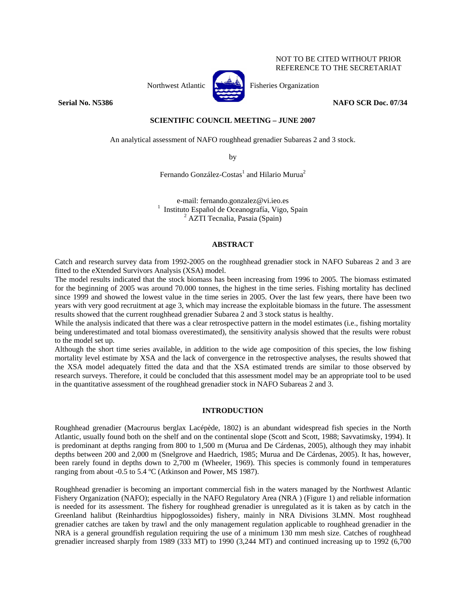#### NOT TO BE CITED WITHOUT PRIOR REFERENCE TO THE SECRETARIAT



Northwest Atlantic  $\begin{bmatrix} 1 & 1 \\ 1 & 1 \end{bmatrix}$  Fisheries Organization

**Serial No. N5386** NAFO SCR Doc. 07/34

### **SCIENTIFIC COUNCIL MEETING – JUNE 2007**

An analytical assessment of NAFO roughhead grenadier Subareas 2 and 3 stock.

by

Fernando González-Costas<sup>1</sup> and Hilario Murua<sup>2</sup>

e-mail: fernando.gonzalez@vi.ieo.es<br><sup>1</sup> Instituto Español de Oceanografía, Vigo, Spain  $2$  AZTI Tecnalia, Pasaia (Spain)

#### **ABSTRACT**

Catch and research survey data from 1992-2005 on the roughhead grenadier stock in NAFO Subareas 2 and 3 are fitted to the eXtended Survivors Analysis (XSA) model.

The model results indicated that the stock biomass has been increasing from 1996 to 2005. The biomass estimated for the beginning of 2005 was around 70.000 tonnes, the highest in the time series. Fishing mortality has declined since 1999 and showed the lowest value in the time series in 2005. Over the last few years, there have been two years with very good recruitment at age 3, which may increase the exploitable biomass in the future. The assessment results showed that the current roughhead grenadier Subarea 2 and 3 stock status is healthy.

While the analysis indicated that there was a clear retrospective pattern in the model estimates (i.e., fishing mortality being underestimated and total biomass overestimated), the sensitivity analysis showed that the results were robust to the model set up.

Although the short time series available, in addition to the wide age composition of this species, the low fishing mortality level estimate by XSA and the lack of convergence in the retrospective analyses, the results showed that the XSA model adequately fitted the data and that the XSA estimated trends are similar to those observed by research surveys. Therefore, it could be concluded that this assessment model may be an appropriate tool to be used in the quantitative assessment of the roughhead grenadier stock in NAFO Subareas 2 and 3.

#### **INTRODUCTION**

Roughhead grenadier (Macrourus berglax Lacépède, 1802) is an abundant widespread fish species in the North Atlantic, usually found both on the shelf and on the continental slope (Scott and Scott, 1988; Savvatimsky, 1994). It is predominant at depths ranging from 800 to 1,500 m (Murua and De Cárdenas, 2005), although they may inhabit depths between 200 and 2,000 m (Snelgrove and Haedrich, 1985; Murua and De Cárdenas, 2005). It has, however, been rarely found in depths down to 2,700 m (Wheeler, 1969). This species is commonly found in temperatures ranging from about -0.5 to 5.4 ºC (Atkinson and Power, MS 1987).

Roughhead grenadier is becoming an important commercial fish in the waters managed by the Northwest Atlantic Fishery Organization (NAFO); especially in the NAFO Regulatory Area (NRA ) (Figure 1) and reliable information is needed for its assessment. The fishery for roughhead grenadier is unregulated as it is taken as by catch in the Greenland halibut (Reinhardtius hippoglossoides) fishery, mainly in NRA Divisions 3LMN. Most roughhead grenadier catches are taken by trawl and the only management regulation applicable to roughhead grenadier in the NRA is a general groundfish regulation requiring the use of a minimum 130 mm mesh size. Catches of roughhead grenadier increased sharply from 1989 (333 MT) to 1990 (3,244 MT) and continued increasing up to 1992 (6,700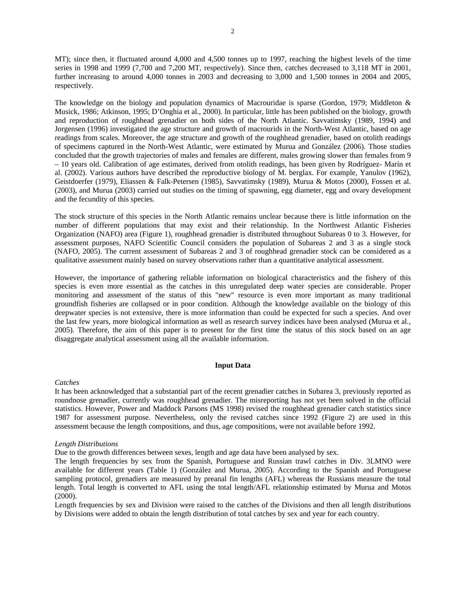MT); since then, it fluctuated around 4,000 and 4,500 tonnes up to 1997, reaching the highest levels of the time series in 1998 and 1999 (7,700 and 7,200 MT, respectively). Since then, catches decreased to 3,118 MT in 2001, further increasing to around 4,000 tonnes in 2003 and decreasing to 3,000 and 1,500 tonnes in 2004 and 2005, respectively.

The knowledge on the biology and population dynamics of Macrouridae is sparse (Gordon, 1979; Middleton & Musick, 1986; Atkinson, 1995; D'Onghia et al., 2000). In particular, little has been published on the biology, growth and reproduction of roughhead grenadier on both sides of the North Atlantic. Savvatimsky (1989, 1994) and Jorgensen (1996) investigated the age structure and growth of macrourids in the North-West Atlantic, based on age readings from scales. Moreover, the age structure and growth of the roughhead grenadier, based on otolith readings of specimens captured in the North-West Atlantic, were estimated by Murua and González (2006). Those studies concluded that the growth trajectories of males and females are different, males growing slower than females from 9 – 10 years old. Calibration of age estimates, derived from otolith readings, has been given by Rodríguez- Marín et al. (2002). Various authors have described the reproductive biology of M. berglax. For example, Yanulov (1962), Geistdoerfer (1979), Eliassen & Falk-Petersen (1985), Savvatimsky (1989), Murua & Motos (2000), Fossen et al. (2003), and Murua (2003) carried out studies on the timing of spawning, egg diameter, egg and ovary development and the fecundity of this species.

The stock structure of this species in the North Atlantic remains unclear because there is little information on the number of different populations that may exist and their relationship. In the Northwest Atlantic Fisheries Organization (NAFO) area (Figure 1), roughhead grenadier is distributed throughout Subareas 0 to 3. However, for assessment purposes, NAFO Scientific Council considers the population of Subareas 2 and 3 as a single stock (NAFO, 2005). The current assessment of Subareas 2 and 3 of roughhead grenadier stock can be considered as a qualitative assessment mainly based on survey observations rather than a quantitative analytical assessment.

However, the importance of gathering reliable information on biological characteristics and the fishery of this species is even more essential as the catches in this unregulated deep water species are considerable. Proper monitoring and assessment of the status of this "new" resource is even more important as many traditional groundfish fisheries are collapsed or in poor condition. Although the knowledge available on the biology of this deepwater species is not extensive, there is more information than could be expected for such a species. And over the last few years, more biological information as well as research survey indices have been analysed (Murua et al., 2005). Therefore, the aim of this paper is to present for the first time the status of this stock based on an age disaggregate analytical assessment using all the available information.

#### **Input Data**

#### *Catches*

It has been acknowledged that a substantial part of the recent grenadier catches in Subarea 3, previously reported as roundnose grenadier, currently was roughhead grenadier. The misreporting has not yet been solved in the official statistics. However, Power and Maddock Parsons (MS 1998) revised the roughhead grenadier catch statistics since 1987 for assessment purpose. Nevertheless, only the revised catches since 1992 (Figure 2) are used in this assessment because the length compositions, and thus, age compositions, were not available before 1992.

#### *Length Distributions*

Due to the growth differences between sexes, length and age data have been analysed by sex.

The length frequencies by sex from the Spanish, Portuguese and Russian trawl catches in Div. 3LMNO were available for different years (Table 1) (González and Murua, 2005). According to the Spanish and Portuguese sampling protocol, grenadiers are measured by preanal fin lengths (AFL) whereas the Russians measure the total length. Total length is converted to AFL using the total length/AFL relationship estimated by Murua and Motos (2000).

Length frequencies by sex and Division were raised to the catches of the Divisions and then all length distributions by Divisions were added to obtain the length distribution of total catches by sex and year for each country.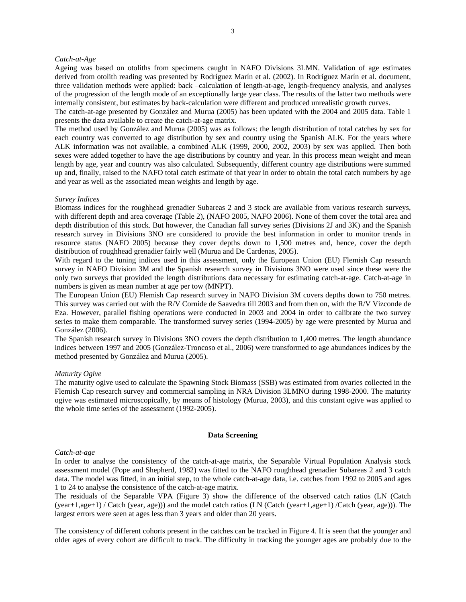#### *Catch-at-Age*

Ageing was based on otoliths from specimens caught in NAFO Divisions 3LMN. Validation of age estimates derived from otolith reading was presented by Rodríguez Marín et al. (2002). In Rodríguez Marín et al. document, three validation methods were applied: back –calculation of length-at-age, length-frequency analysis, and analyses of the progression of the length mode of an exceptionally large year class. The results of the latter two methods were internally consistent, but estimates by back-calculation were different and produced unrealistic growth curves.

The catch-at-age presented by González and Murua (2005) has been updated with the 2004 and 2005 data. Table 1 presents the data available to create the catch-at-age matrix.

The method used by González and Murua (2005) was as follows: the length distribution of total catches by sex for each country was converted to age distribution by sex and country using the Spanish ALK. For the years where ALK information was not available, a combined ALK (1999, 2000, 2002, 2003) by sex was applied. Then both sexes were added together to have the age distributions by country and year. In this process mean weight and mean length by age, year and country was also calculated. Subsequently, different country age distributions were summed up and, finally, raised to the NAFO total catch estimate of that year in order to obtain the total catch numbers by age and year as well as the associated mean weights and length by age.

#### *Survey Indices*

Biomass indices for the roughhead grenadier Subareas 2 and 3 stock are available from various research surveys, with different depth and area coverage (Table 2), (NAFO 2005, NAFO 2006). None of them cover the total area and depth distribution of this stock. But however, the Canadian fall survey series (Divisions 2J and 3K) and the Spanish research survey in Divisions 3NO are considered to provide the best information in order to monitor trends in resource status (NAFO 2005) because they cover depths down to 1,500 metres and, hence, cover the depth distribution of roughhead grenadier fairly well (Murua and De Cardenas, 2005).

With regard to the tuning indices used in this assessment, only the European Union (EU) Flemish Cap research survey in NAFO Division 3M and the Spanish research survey in Divisions 3NO were used since these were the only two surveys that provided the length distributions data necessary for estimating catch-at-age. Catch-at-age in numbers is given as mean number at age per tow (MNPT).

The European Union (EU) Flemish Cap research survey in NAFO Division 3M covers depths down to 750 metres. This survey was carried out with the R/V Cornide de Saavedra till 2003 and from then on, with the R/V Vizconde de Eza. However, parallel fishing operations were conducted in 2003 and 2004 in order to calibrate the two survey series to make them comparable. The transformed survey series (1994-2005) by age were presented by Murua and González (2006).

The Spanish research survey in Divisions 3NO covers the depth distribution to 1,400 metres. The length abundance indices between 1997 and 2005 (González-Troncoso et al., 2006) were transformed to age abundances indices by the method presented by González and Murua (2005).

#### *Maturity Ogive*

The maturity ogive used to calculate the Spawning Stock Biomass (SSB) was estimated from ovaries collected in the Flemish Cap research survey and commercial sampling in NRA Division 3LMNO during 1998-2000. The maturity ogive was estimated microscopically, by means of histology (Murua, 2003), and this constant ogive was applied to the whole time series of the assessment (1992-2005).

#### **Data Screening**

#### *Catch-at-age*

In order to analyse the consistency of the catch-at-age matrix, the Separable Virtual Population Analysis stock assessment model (Pope and Shepherd, 1982) was fitted to the NAFO roughhead grenadier Subareas 2 and 3 catch data. The model was fitted, in an initial step, to the whole catch-at-age data, i.e. catches from 1992 to 2005 and ages 1 to 24 to analyse the consistence of the catch-at-age matrix.

The residuals of the Separable VPA (Figure 3) show the difference of the observed catch ratios (LN (Catch (year+1,age+1) / Catch (year, age))) and the model catch ratios (LN (Catch (year+1,age+1) /Catch (year, age))). The largest errors were seen at ages less than 3 years and older than 20 years.

The consistency of different cohorts present in the catches can be tracked in Figure 4. It is seen that the younger and older ages of every cohort are difficult to track. The difficulty in tracking the younger ages are probably due to the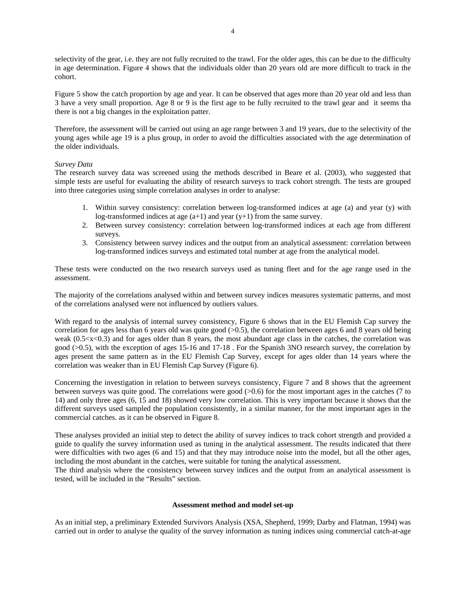selectivity of the gear, i.e. they are not fully recruited to the trawl. For the older ages, this can be due to the difficulty in age determination. Figure 4 shows that the individuals older than 20 years old are more difficult to track in the cohort.

Figure 5 show the catch proportion by age and year. It can be observed that ages more than 20 year old and less than 3 have a very small proportion. Age 8 or 9 is the first age to be fully recruited to the trawl gear and it seems tha there is not a big changes in the exploitation patter.

Therefore, the assessment will be carried out using an age range between 3 and 19 years, due to the selectivity of the young ages while age 19 is a plus group, in order to avoid the difficulties associated with the age determination of the older individuals.

#### *Survey Data*

The research survey data was screened using the methods described in Beare et al. (2003), who suggested that simple tests are useful for evaluating the ability of research surveys to track cohort strength. The tests are grouped into three categories using simple correlation analyses in order to analyse:

- 1. Within survey consistency: correlation between log-transformed indices at age (a) and year (y) with log-transformed indices at age (a+1) and year (y+1) from the same survey.
- 2. Between survey consistency: correlation between log-transformed indices at each age from different surveys.
- 3. Consistency between survey indices and the output from an analytical assessment: correlation between log-transformed indices surveys and estimated total number at age from the analytical model.

These tests were conducted on the two research surveys used as tuning fleet and for the age range used in the assessment.

The majority of the correlations analysed within and between survey indices measures systematic patterns, and most of the correlations analysed were not influenced by outliers values.

With regard to the analysis of internal survey consistency, Figure 6 shows that in the EU Flemish Cap survey the correlation for ages less than 6 years old was quite good (>0.5), the correlation between ages 6 and 8 years old being weak  $(0.5 < x < 0.3)$  and for ages older than 8 years, the most abundant age class in the catches, the correlation was good (>0.5), with the exception of ages 15-16 and 17-18 . For the Spanish 3NO research survey, the correlation by ages present the same pattern as in the EU Flemish Cap Survey, except for ages older than 14 years where the correlation was weaker than in EU Flemish Cap Survey (Figure 6).

Concerning the investigation in relation to between surveys consistency, Figure 7 and 8 shows that the agreement between surveys was quite good. The correlations were good  $(0.6)$  for the most important ages in the catches (7 to 14) and only three ages (6, 15 and 18) showed very low correlation. This is very important because it shows that the different surveys used sampled the population consistently, in a similar manner, for the most important ages in the commercial catches. as it can be observed in Figure 8.

These analyses provided an initial step to detect the ability of survey indices to track cohort strength and provided a guide to qualify the survey information used as tuning in the analytical assessment. The results indicated that there were difficulties with two ages (6 and 15) and that they may introduce noise into the model, but all the other ages, including the most abundant in the catches, were suitable for tuning the analytical assessment.

The third analysis where the consistency between survey indices and the output from an analytical assessment is tested, will be included in the "Results" section.

#### **Assessment method and model set-up**

As an initial step, a preliminary Extended Survivors Analysis (XSA, Shepherd, 1999; Darby and Flatman, 1994) was carried out in order to analyse the quality of the survey information as tuning indices using commercial catch-at-age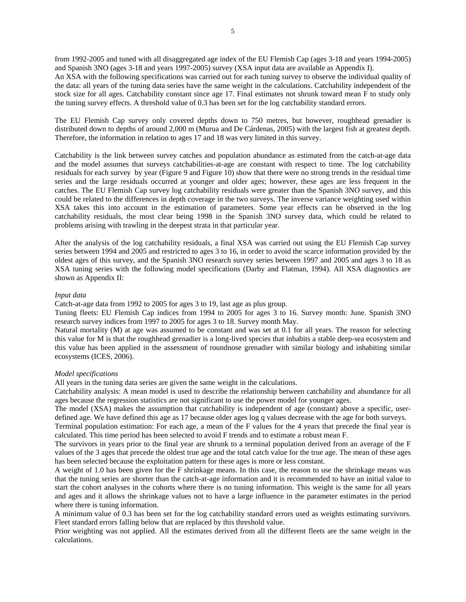from 1992-2005 and tuned with all disaggregated age index of the EU Flemish Cap (ages 3-18 and years 1994-2005) and Spanish 3NO (ages 3-18 and years 1997-2005) survey (XSA input data are available as Appendix I).

An XSA with the following specifications was carried out for each tuning survey to observe the individual quality of the data: all years of the tuning data series have the same weight in the calculations. Catchability independent of the stock size for all ages. Catchability constant since age 17. Final estimates not shrunk toward mean F to study only the tuning survey effects. A threshold value of 0.3 has been set for the log catchability standard errors.

The EU Flemish Cap survey only covered depths down to 750 metres, but however, roughhead grenadier is distributed down to depths of around 2,000 m (Murua and De Cárdenas, 2005) with the largest fish at greatest depth. Therefore, the information in relation to ages 17 and 18 was very limited in this survey.

Catchability is the link between survey catches and population abundance as estimated from the catch-at-age data and the model assumes that surveys catchabilities-at-age are constant with respect to time. The log catchability residuals for each survey by year (Figure 9 and Figure 10) show that there were no strong trends in the residual time series and the large residuals occurred at younger and older ages; however, these ages are less frequent in the catches. The EU Flemish Cap survey log catchability residuals were greater than the Spanish 3NO survey, and this could be related to the differences in depth coverage in the two surveys. The inverse variance weighting used within XSA takes this into account in the estimation of parameters. Some year effects can be observed in the log catchability residuals, the most clear being 1998 in the Spanish 3NO survey data, which could be related to problems arising with trawling in the deepest strata in that particular year.

After the analysis of the log catchability residuals, a final XSA was carried out using the EU Flemish Cap survey series between 1994 and 2005 and restricted to ages 3 to 16, in order to avoid the scarce information provided by the oldest ages of this survey, and the Spanish 3NO research survey series between 1997 and 2005 and ages 3 to 18 as XSA tuning series with the following model specifications (Darby and Flatman, 1994). All XSA diagnostics are shown as Appendix II:

#### *Input data*

Catch-at-age data from 1992 to 2005 for ages 3 to 19, last age as plus group.

Tuning fleets: EU Flemish Cap indices from 1994 to 2005 for ages 3 to 16. Survey month: June. Spanish 3NO research survey indices from 1997 to 2005 for ages 3 to 18. Survey month May.

Natural mortality (M) at age was assumed to be constant and was set at 0.1 for all years. The reason for selecting this value for M is that the roughhead grenadier is a long-lived species that inhabits a stable deep-sea ecosystem and this value has been applied in the assessment of roundnose grenadier with similar biology and inhabiting similar ecosystems (ICES, 2006).

#### *Model specifications*

All years in the tuning data series are given the same weight in the calculations.

Catchability analysis: A mean model is used to describe the relationship between catchability and abundance for all ages because the regression statistics are not significant to use the power model for younger ages.

The model (XSA) makes the assumption that catchability is independent of age (constant) above a specific, userdefined age. We have defined this age as 17 because older ages log q values decrease with the age for both surveys.

Terminal population estimation: For each age, a mean of the F values for the 4 years that precede the final year is calculated. This time period has been selected to avoid F trends and to estimate a robust mean F.

The survivors in years prior to the final year are shrunk to a terminal population derived from an average of the F values of the 3 ages that precede the oldest true age and the total catch value for the true age. The mean of these ages has been selected because the exploitation pattern for these ages is more or less constant.

A weight of 1.0 has been given for the F shrinkage means. In this case, the reason to use the shrinkage means was that the tuning series are shorter than the catch-at-age information and it is recommended to have an initial value to start the cohort analyses in the cohorts where there is no tuning information. This weight is the same for all years and ages and it allows the shrinkage values not to have a large influence in the parameter estimates in the period where there is tuning information.

A minimum value of 0.3 has been set for the log catchability standard errors used as weights estimating survivors. Fleet standard errors falling below that are replaced by this threshold value.

Prior weighting was not applied. All the estimates derived from all the different fleets are the same weight in the calculations.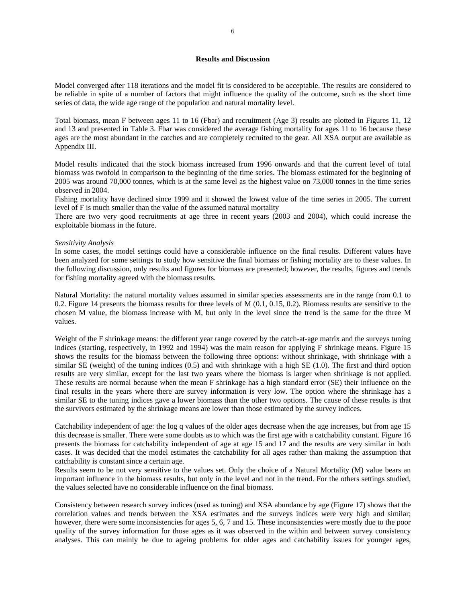#### **Results and Discussion**

Model converged after 118 iterations and the model fit is considered to be acceptable. The results are considered to be reliable in spite of a number of factors that might influence the quality of the outcome, such as the short time series of data, the wide age range of the population and natural mortality level.

Total biomass, mean F between ages 11 to 16 (Fbar) and recruitment (Age 3) results are plotted in Figures 11, 12 and 13 and presented in Table 3. Fbar was considered the average fishing mortality for ages 11 to 16 because these ages are the most abundant in the catches and are completely recruited to the gear. All XSA output are available as Appendix III.

Model results indicated that the stock biomass increased from 1996 onwards and that the current level of total biomass was twofold in comparison to the beginning of the time series. The biomass estimated for the beginning of 2005 was around 70,000 tonnes, which is at the same level as the highest value on 73,000 tonnes in the time series observed in 2004.

Fishing mortality have declined since 1999 and it showed the lowest value of the time series in 2005. The current level of F is much smaller than the value of the assumed natural mortality

There are two very good recruitments at age three in recent years (2003 and 2004), which could increase the exploitable biomass in the future.

#### *Sensitivity Analysis*

In some cases, the model settings could have a considerable influence on the final results. Different values have been analyzed for some settings to study how sensitive the final biomass or fishing mortality are to these values. In the following discussion, only results and figures for biomass are presented; however, the results, figures and trends for fishing mortality agreed with the biomass results.

Natural Mortality: the natural mortality values assumed in similar species assessments are in the range from 0.1 to 0.2. Figure 14 presents the biomass results for three levels of M (0.1, 0.15, 0.2). Biomass results are sensitive to the chosen M value, the biomass increase with M, but only in the level since the trend is the same for the three M values.

Weight of the F shrinkage means: the different year range covered by the catch-at-age matrix and the surveys tuning indices (starting, respectively, in 1992 and 1994) was the main reason for applying F shrinkage means. Figure 15 shows the results for the biomass between the following three options: without shrinkage, with shrinkage with a similar SE (weight) of the tuning indices (0.5) and with shrinkage with a high SE (1.0). The first and third option results are very similar, except for the last two years where the biomass is larger when shrinkage is not applied. These results are normal because when the mean F shrinkage has a high standard error (SE) their influence on the final results in the years where there are survey information is very low. The option where the shrinkage has a similar SE to the tuning indices gave a lower biomass than the other two options. The cause of these results is that the survivors estimated by the shrinkage means are lower than those estimated by the survey indices.

Catchability independent of age: the log q values of the older ages decrease when the age increases, but from age 15 this decrease is smaller. There were some doubts as to which was the first age with a catchability constant. Figure 16 presents the biomass for catchability independent of age at age 15 and 17 and the results are very similar in both cases. It was decided that the model estimates the catchability for all ages rather than making the assumption that catchability is constant since a certain age.

Results seem to be not very sensitive to the values set. Only the choice of a Natural Mortality (M) value bears an important influence in the biomass results, but only in the level and not in the trend. For the others settings studied, the values selected have no considerable influence on the final biomass.

Consistency between research survey indices (used as tuning) and XSA abundance by age (Figure 17) shows that the correlation values and trends between the XSA estimates and the surveys indices were very high and similar; however, there were some inconsistencies for ages 5, 6, 7 and 15. These inconsistencies were mostly due to the poor quality of the survey information for those ages as it was observed in the within and between survey consistency analyses. This can mainly be due to ageing problems for older ages and catchability issues for younger ages,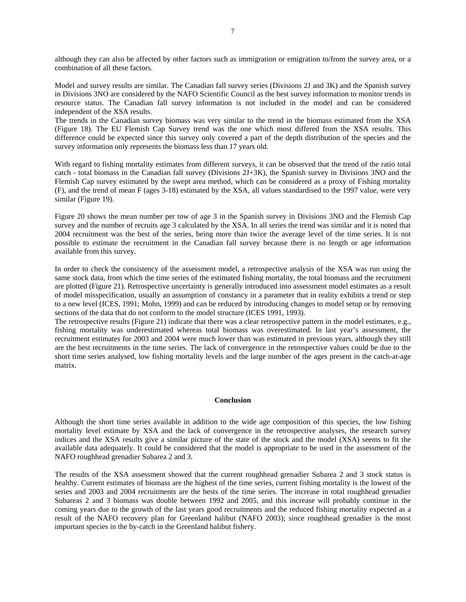although they can also be affected by other factors such as immigration or emigration to/from the survey area, or a combination of all these factors.

Model and survey results are similar. The Canadian fall survey series (Divisions 2J and 3K) and the Spanish survey in Divisions 3NO are considered by the NAFO Scientific Council as the best survey information to monitor trends in resource status. The Canadian fall survey information is not included in the model and can be considered independent of the XSA results.

The trends in the Canadian survey biomass was very similar to the trend in the biomass estimated from the XSA (Figure 18). The EU Flemish Cap Survey trend was the one which most differed from the XSA results. This difference could be expected since this survey only covered a part of the depth distribution of the species and the survey information only represents the biomass less than 17 years old.

With regard to fishing mortality estimates from different surveys, it can be observed that the trend of the ratio total catch - total biomass in the Canadian fall survey (Divisions 2J+3K), the Spanish survey in Divisions 3NO and the Flemish Cap survey estimated by the swept area method, which can be considered as a proxy of Fishing mortality (F), and the trend of mean F (ages 3-18) estimated by the XSA, all values standardised to the 1997 value, were very similar (Figure 19).

Figure 20 shows the mean number per tow of age 3 in the Spanish survey in Divisions 3NO and the Flemish Cap survey and the number of recruits age 3 calculated by the XSA. In all series the trend was similar and it is noted that 2004 recruitment was the best of the series, being more than twice the average level of the time series. It is not possible to estimate the recruitment in the Canadian fall survey because there is no length or age information available from this survey.

In order to check the consistency of the assessment model, a retrospective analysis of the XSA was run using the same stock data, from which the time series of the estimated fishing mortality, the total biomass and the recruitment are plotted (Figure 21). Retrospective uncertainty is generally introduced into assessment model estimates as a result of model misspecification, usually an assumption of constancy in a parameter that in reality exhibits a trend or step to a new level (ICES, 1991; Mohn, 1999) and can be reduced by introducing changes to model setup or by removing sections of the data that do not conform to the model structure (ICES 1991, 1993).

The retrospective results (Figure 21) indicate that there was a clear retrospective pattern in the model estimates, e.g., fishing mortality was underestimated whereas total biomass was overestimated. In last year's assessment, the recruitment estimates for 2003 and 2004 were much lower than was estimated in previous years, although they still are the best recruitments in the time series. The lack of convergence in the retrospective values could be due to the short time series analysed, low fishing mortality levels and the large number of the ages present in the catch-at-age matrix.

#### **Conclusion**

Although the short time series available in addition to the wide age composition of this species, the low fishing mortality level estimate by XSA and the lack of convergence in the retrospective analyses, the research survey indices and the XSA results give a similar picture of the state of the stock and the model (XSA) seems to fit the available data adequately. It could be considered that the model is appropriate to be used in the assessment of the NAFO roughhead grenadier Subarea 2 and 3.

The results of the XSA assessment showed that the current roughhead grenadier Subarea 2 and 3 stock status is healthy. Current estimates of biomass are the highest of the time series, current fishing mortality is the lowest of the series and 2003 and 2004 recruitments are the bests of the time series. The increase in total roughhead grenadier Subareas 2 and 3 biomass was double between 1992 and 2005, and this increase will probably continue in the coming years due to the growth of the last years good recruitments and the reduced fishing mortality expected as a result of the NAFO recovery plan for Greenland halibut (NAFO 2003); since roughhead grenadier is the most important species in the by-catch in the Greenland halibut fishery.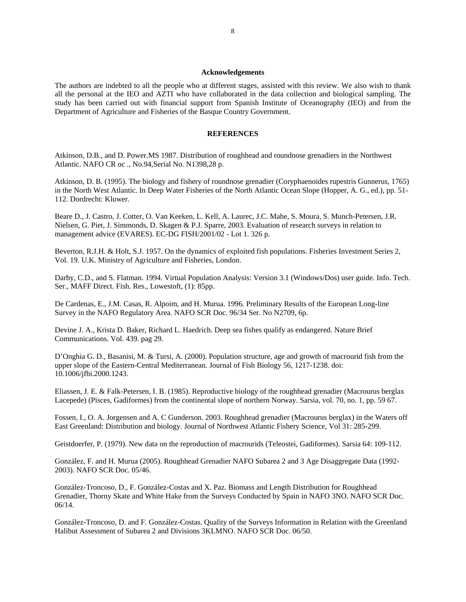#### **Acknowledgements**

The authors are indebted to all the people who at different stages, assisted with this review. We also wish to thank all the personal at the IEO and AZTI who have collaborated in the data collection and biological sampling. The study has been carried out with financial support from Spanish Institute of Oceanography (IEO) and from the Department of Agriculture and Fisheries of the Basque Country Government.

#### **REFERENCES**

Atkinson, D.B., and D. Power.MS 1987. Distribution of roughhead and roundnose grenadiers in the Northwest Atlantic. NAFO CR oc ., No.94,Serial No. N1398,28 p.

Atkinson, D. B. (1995). The biology and fishery of roundnose grenadier (Coryphaenoides rupestris Gunnerus, 1765) in the North West Atlantic. In Deep Water Fisheries of the North Atlantic Ocean Slope (Hopper, A. G., ed.), pp. 51- 112. Dordrecht: Kluwer.

Beare D., J. Castro, J. Cotter, O. Van Keeken, L. Kell, A. Laurec, J.C. Mahe, S. Moura, S. Munch-Petersen, J.R. Nielsen, G. Piet, J. Simmonds, D. Skagen & P.J. Sparre, 2003. Evaluation of research surveys in relation to management advice (EVARES). EC-DG FISH/2001/02 - Lot 1. 326 p.

Beverton, R.J.H. & Holt, S.J. 1957. On the dynamics of exploited fish populations. Fisheries Investment Series 2, Vol. 19. U.K. Ministry of Agriculture and Fisheries, London.

Darby, C.D., and S. Flatman. 1994. Virtual Population Analysis: Version 3.1 (Windows/Dos) user guide. Info. Tech. Ser., MAFF Direct. Fish. Res., Lowestoft, (1): 85pp.

De Cardenas, E., J.M. Casas, R. Alpoim, and H. Murua. 1996. Preliminary Results of the European Long-line Survey in the NAFO Regulatory Area. NAFO SCR Doc. 96/34 Ser. No N2709, 6p.

Devine J. A., Krista D. Baker, Richard L. Haedrich. Deep sea fishes qualify as endangered. Nature Brief Communications. Vol. 439. pag 29.

D'Onghia G. D., Basanisi, M. & Tursi, A. (2000). Population structure, age and growth of macrourid fish from the upper slope of the Eastern-Central Mediterranean. Journal of Fish Biology 56, 1217-1238. doi: 10.1006/jfbi.2000.1243.

Eliassen, J. E. & Falk-Petersen, I. B. (1985). Reproductive biology of the roughhead grenadier (Macrourus berglax Lacepede) (Pisces, Gadiformes) from the continental slope of northern Norway. Sarsia, vol. 70, no. 1, pp. 59 67.

Fossen, I., O. A. Jorgensen and A. C Gunderson. 2003. Roughhead grenadier (Macrourus berglax) in the Waters off East Greenland: Distribution and biology. Journal of Northwest Atlantic Fishery Science, Vol 31: 285-299.

Geistdoerfer, P. (1979). New data on the reproduction of macrourids (Teleostei, Gadiformes). Sarsia 64: 109-112.

González, F. and H. Murua (2005). Roughhead Grenadier NAFO Subarea 2 and 3 Age Disaggregate Data (1992- 2003). NAFO SCR Doc. 05/46.

González-Troncoso, D., F. González-Costas and X. Paz. Biomass and Length Distribution for Roughhead Grenadier, Thorny Skate and White Hake from the Surveys Conducted by Spain in NAFO 3NO. NAFO SCR Doc. 06/14.

González-Troncoso, D. and F. González-Costas. Quality of the Surveys Information in Relation with the Greenland Halibut Assessment of Subarea 2 and Divisions 3KLMNO. NAFO SCR Doc. 06/50.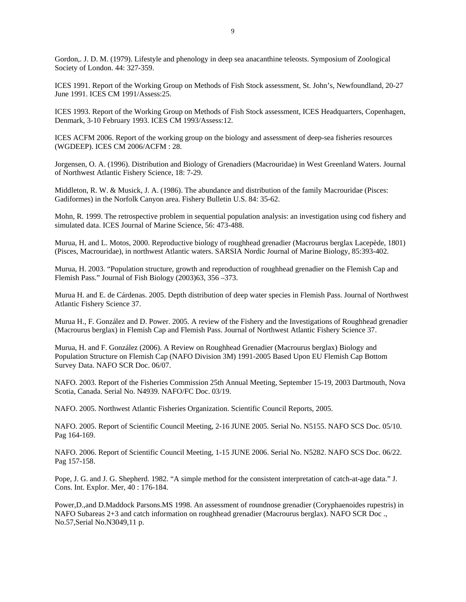Gordon,. J. D. M. (1979). Lifestyle and phenology in deep sea anacanthine teleosts. Symposium of Zoological Society of London. 44: 327-359.

ICES 1991. Report of the Working Group on Methods of Fish Stock assessment, St. John's, Newfoundland, 20-27 June 1991. ICES CM 1991/Assess:25.

ICES 1993. Report of the Working Group on Methods of Fish Stock assessment, ICES Headquarters, Copenhagen, Denmark, 3-10 February 1993. ICES CM 1993/Assess:12.

ICES ACFM 2006. Report of the working group on the biology and assessment of deep-sea fisheries resources (WGDEEP). ICES CM 2006/ACFM : 28.

Jorgensen, O. A. (1996). Distribution and Biology of Grenadiers (Macrouridae) in West Greenland Waters. Journal of Northwest Atlantic Fishery Science, 18: 7-29.

Middleton, R. W. & Musick, J. A. (1986). The abundance and distribution of the family Macrouridae (Pisces: Gadiformes) in the Norfolk Canyon area. Fishery Bulletin U.S. 84: 35-62.

Mohn, R. 1999. The retrospective problem in sequential population analysis: an investigation using cod fishery and simulated data. ICES Journal of Marine Science, 56: 473-488.

Murua, H. and L. Motos, 2000. Reproductive biology of roughhead grenadier (Macrourus berglax Lacepède, 1801) (Pisces, Macrouridae), in northwest Atlantic waters. SARSIA Nordic Journal of Marine Biology, 85:393-402.

Murua, H. 2003. "Population structure, growth and reproduction of roughhead grenadier on the Flemish Cap and Flemish Pass." Journal of Fish Biology (2003)63, 356 –373.

Murua H. and E. de Cárdenas. 2005. Depth distribution of deep water species in Flemish Pass. Journal of Northwest Atlantic Fishery Science 37.

Murua H., F. González and D. Power. 2005. A review of the Fishery and the Investigations of Roughhead grenadier (Macrourus berglax) in Flemish Cap and Flemish Pass. Journal of Northwest Atlantic Fishery Science 37.

Murua, H. and F. González (2006). A Review on Roughhead Grenadier (Macrourus berglax) Biology and Population Structure on Flemish Cap (NAFO Division 3M) 1991-2005 Based Upon EU Flemish Cap Bottom Survey Data. NAFO SCR Doc. 06/07.

NAFO. 2003. Report of the Fisheries Commission 25th Annual Meeting, September 15-19, 2003 Dartmouth, Nova Scotia, Canada. Serial No. N4939. NAFO/FC Doc. 03/19.

NAFO. 2005. Northwest Atlantic Fisheries Organization. Scientific Council Reports, 2005.

NAFO. 2005. Report of Scientific Council Meeting, 2-16 JUNE 2005. Serial No. N5155. NAFO SCS Doc. 05/10. Pag 164-169.

NAFO. 2006. Report of Scientific Council Meeting, 1-15 JUNE 2006. Serial No. N5282. NAFO SCS Doc. 06/22. Pag 157-158.

Pope, J. G. and J. G. Shepherd. 1982. "A simple method for the consistent interpretation of catch-at-age data." J. Cons. Int. Explor. Mer, 40 : 176-184.

Power,D.,and D.Maddock Parsons.MS 1998. An assessment of roundnose grenadier (Coryphaenoides rupestris) in NAFO Subareas 2+3 and catch information on roughhead grenadier (Macrourus berglax). NAFO SCR Doc ., No.57,Serial No.N3049,11 p.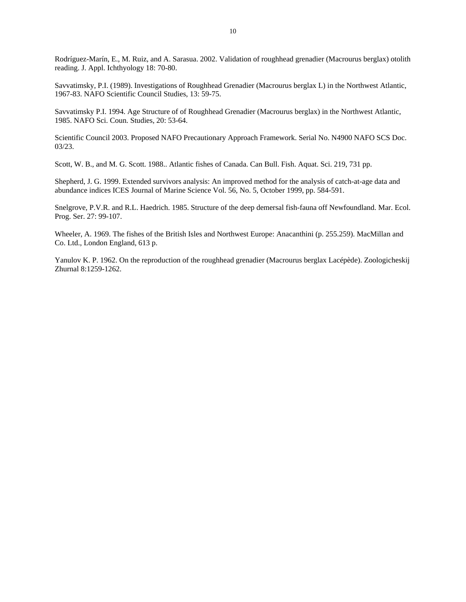Rodríguez-Marín, E., M. Ruiz, and A. Sarasua. 2002. Validation of roughhead grenadier (Macrourus berglax) otolith reading. J. Appl. Ichthyology 18: 70-80.

Savvatimsky, P.I. (1989). Investigations of Roughhead Grenadier (Macrourus berglax L) in the Northwest Atlantic, 1967-83. NAFO Scientific Council Studies, 13: 59-75.

Savvatimsky P.I. 1994. Age Structure of of Roughhead Grenadier (Macrourus berglax) in the Northwest Atlantic, 1985. NAFO Sci. Coun. Studies, 20: 53-64.

Scientific Council 2003. Proposed NAFO Precautionary Approach Framework. Serial No. N4900 NAFO SCS Doc. 03/23.

Scott, W. B., and M. G. Scott. 1988.. Atlantic fishes of Canada. Can Bull. Fish. Aquat. Sci. 219, 731 pp.

Shepherd, J. G. 1999. Extended survivors analysis: An improved method for the analysis of catch-at-age data and abundance indices ICES Journal of Marine Science Vol. 56, No. 5, October 1999, pp. 584-591.

Snelgrove, P.V.R. and R.L. Haedrich. 1985. Structure of the deep demersal fish-fauna off Newfoundland. Mar. Ecol. Prog. Ser. 27: 99-107.

Wheeler, A. 1969. The fishes of the British Isles and Northwest Europe: Anacanthini (p. 255.259). MacMillan and Co. Ltd., London England, 613 p.

Yanulov K. P. 1962. On the reproduction of the roughhead grenadier (Macrourus berglax Lacépède). Zoologicheskij Zhurnal 8:1259-1262.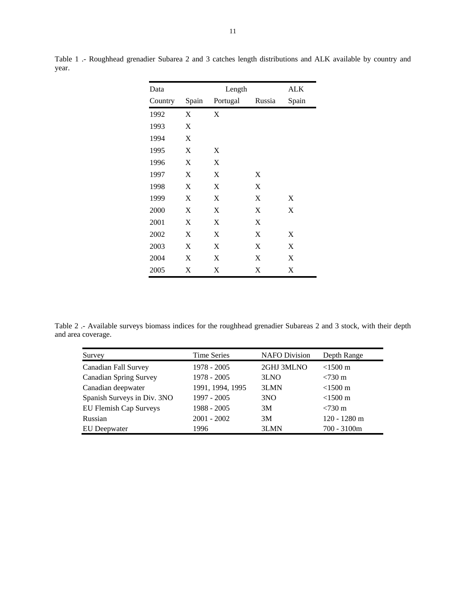| Data    |       | Length   |        | ALK   |
|---------|-------|----------|--------|-------|
| Country | Spain | Portugal | Russia | Spain |
| 1992    | X     | X        |        |       |
| 1993    | X     |          |        |       |
| 1994    | X     |          |        |       |
| 1995    | X     | X        |        |       |
| 1996    | X     | X        |        |       |
| 1997    | X     | X        | X      |       |
| 1998    | X     | X        | X      |       |
| 1999    | X     | X        | X      | X     |
| 2000    | X     | X        | X      | X     |
| 2001    | X     | X        | X      |       |
| 2002    | X     | X        | X      | X     |
| 2003    | X     | X        | X      | X     |
| 2004    | X     | X        | X      | X     |
| 2005    | X     | X        | X      | X     |

Table 1 .- Roughhead grenadier Subarea 2 and 3 catches length distributions and ALK available by country and year.

Table 2 .- Available surveys biomass indices for the roughhead grenadier Subareas 2 and 3 stock, with their depth and area coverage.

| Survey                        | <b>Time Series</b> | <b>NAFO</b> Division | Depth Range       |
|-------------------------------|--------------------|----------------------|-------------------|
| Canadian Fall Survey          | $1978 - 2005$      | 2GHJ 3MLNO           | $<$ 1500 m        |
| <b>Canadian Spring Survey</b> | 1978 - 2005        | 3LNO                 | $< 730 \text{ m}$ |
| Canadian deepwater            | 1991, 1994, 1995   | 3LMN                 | $<$ 1500 m        |
| Spanish Surveys in Div. 3NO   | 1997 - 2005        | 3 <sub>N</sub> O     | $<$ 1500 m        |
| EU Flemish Cap Surveys        | 1988 - 2005        | 3M                   | $< 730 \text{ m}$ |
| Russian                       | $2001 - 2002$      | 3M                   | $120 - 1280$ m    |
| EU Deepwater                  | 1996               | 3LMN                 | $700 - 3100m$     |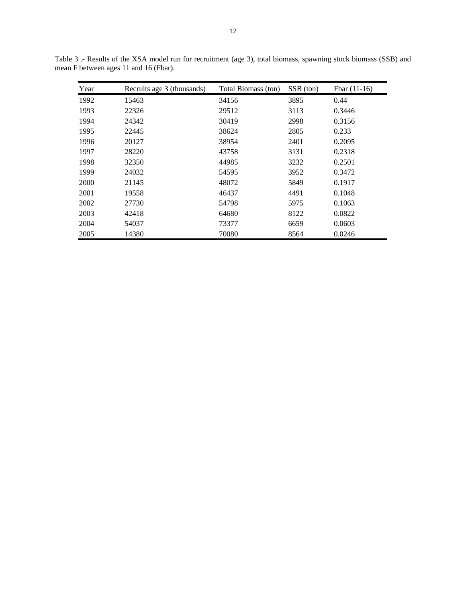| Year | Recruits age 3 (thousands) | Total Biomass (ton) | SSB (ton) | Fbar $(11-16)$ |
|------|----------------------------|---------------------|-----------|----------------|
| 1992 | 15463                      | 34156               | 3895      | 0.44           |
| 1993 | 22326                      | 29512               | 3113      | 0.3446         |
| 1994 | 24342                      | 30419               | 2998      | 0.3156         |
| 1995 | 22445                      | 38624               | 2805      | 0.233          |
| 1996 | 20127                      | 38954               | 2401      | 0.2095         |
| 1997 | 28220                      | 43758               | 3131      | 0.2318         |
| 1998 | 32350                      | 44985               | 3232      | 0.2501         |
| 1999 | 24032                      | 54595               | 3952      | 0.3472         |
| 2000 | 21145                      | 48072               | 5849      | 0.1917         |
| 2001 | 19558                      | 46437               | 4491      | 0.1048         |
| 2002 | 27730                      | 54798               | 5975      | 0.1063         |
| 2003 | 42418                      | 64680               | 8122      | 0.0822         |
| 2004 | 54037                      | 73377               | 6659      | 0.0603         |
| 2005 | 14380                      | 70080               | 8564      | 0.0246         |

Table 3 .- Results of the XSA model run for recruitment (age 3), total biomass, spawning stock biomass (SSB) and mean F between ages 11 and 16 (Fbar).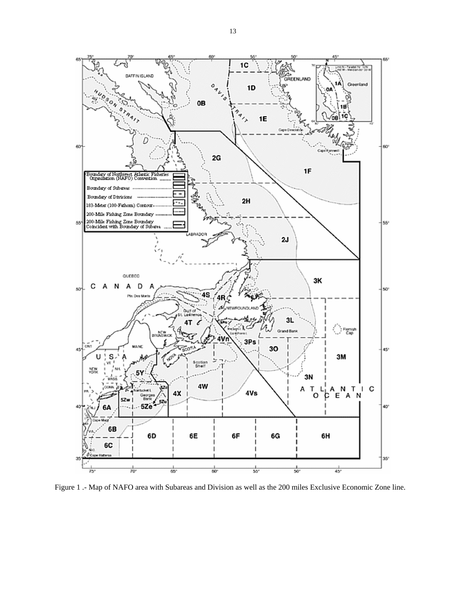

Figure 1 .- Map of NAFO area with Subareas and Division as well as the 200 miles Exclusive Economic Zone line.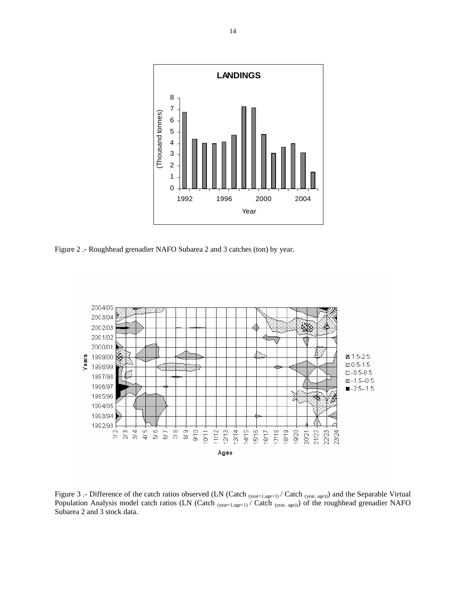

Figure 2 .- Roughhead grenadier NAFO Subarea 2 and 3 catches (ton) by year.



Figure 3 .- Difference of the catch ratios observed (LN (Catch  $_{(year+1,age+1)}$  / Catch  $_{(year, age)})$ ) and the Separable Virtual Population Analysis model catch ratios (LN (Catch  $_{(year+1,age+1)}$  / Catch  $_{(year, age)})$ ) of the roughhead grenadier NAFO Subarea 2 and 3 stock data.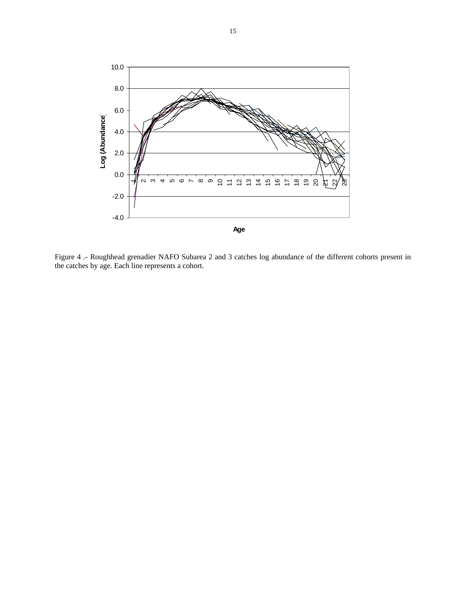

Figure 4 .- Roughhead grenadier NAFO Subarea 2 and 3 catches log abundance of the different cohorts present in the catches by age. Each line represents a cohort.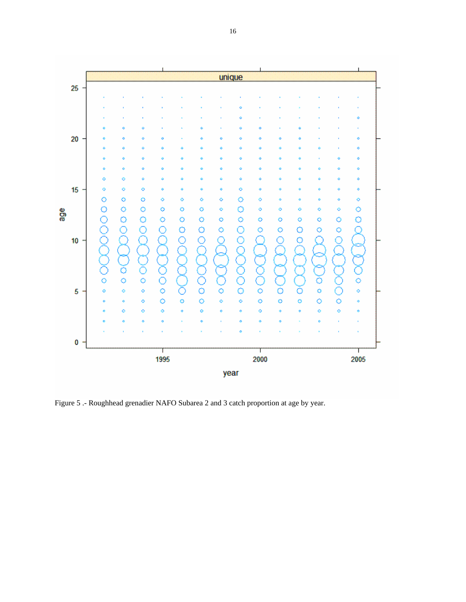

Figure 5 .- Roughhead grenadier NAFO Subarea 2 and 3 catch proportion at age by year.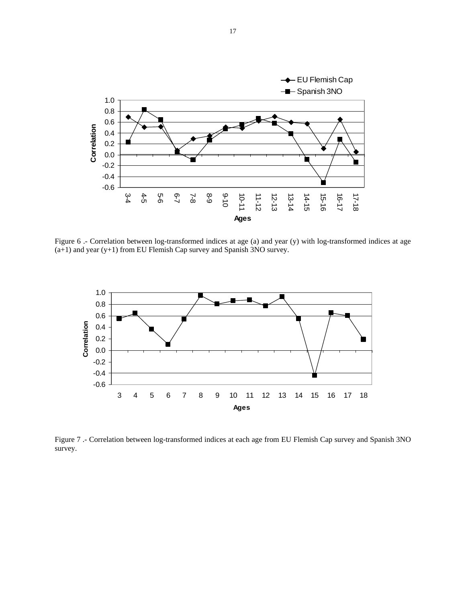

Figure 6 .- Correlation between log-transformed indices at age (a) and year (y) with log-transformed indices at age (a+1) and year (y+1) from EU Flemish Cap survey and Spanish 3NO survey.



Figure 7 .- Correlation between log-transformed indices at each age from EU Flemish Cap survey and Spanish 3NO survey.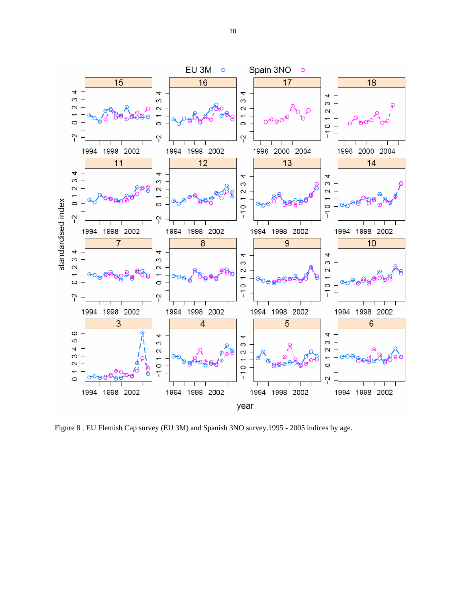

Figure 8 . EU Flemish Cap survey (EU 3M) and Spanish 3NO survey.1995 - 2005 indices by age.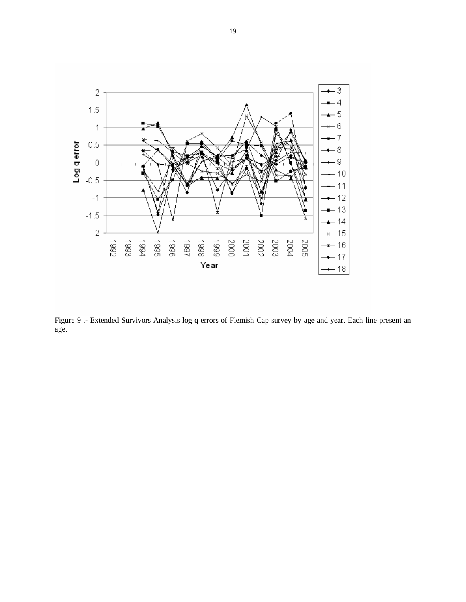

Figure 9 .- Extended Survivors Analysis log q errors of Flemish Cap survey by age and year. Each line present an age.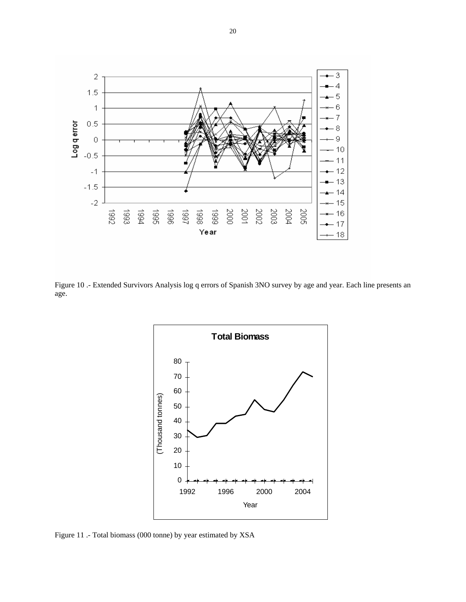

Figure 10 .- Extended Survivors Analysis log q errors of Spanish 3NO survey by age and year. Each line presents an age.



Figure 11 .- Total biomass (000 tonne) by year estimated by XSA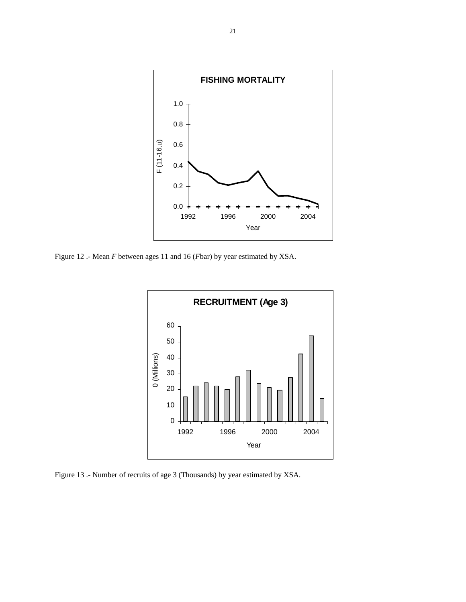

Figure 12 .- Mean *F* between ages 11 and 16 (*F*bar) by year estimated by XSA.



Figure 13 .- Number of recruits of age 3 (Thousands) by year estimated by XSA.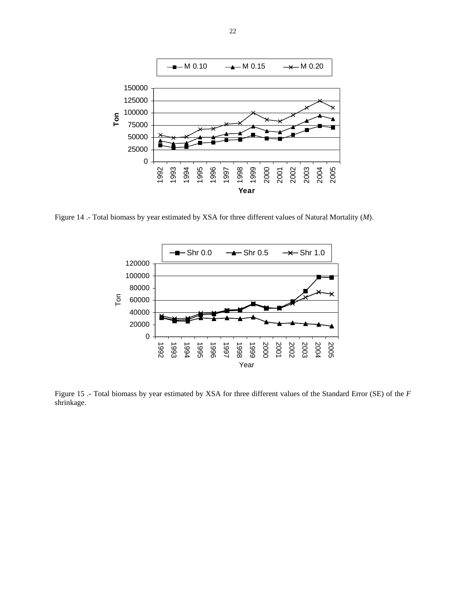

Figure 14 .- Total biomass by year estimated by XSA for three different values of Natural Mortality (*M*).



Figure 15 .- Total biomass by year estimated by XSA for three different values of the Standard Error (SE) of the *F*  shrinkage.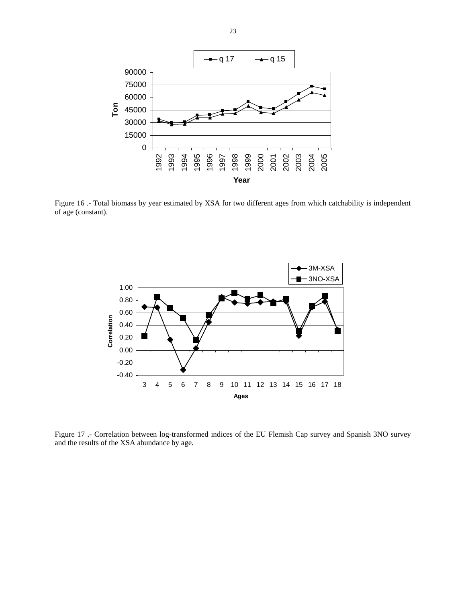

Figure 16 .- Total biomass by year estimated by XSA for two different ages from which catchability is independent of age (constant).



Figure 17 .- Correlation between log-transformed indices of the EU Flemish Cap survey and Spanish 3NO survey and the results of the XSA abundance by age.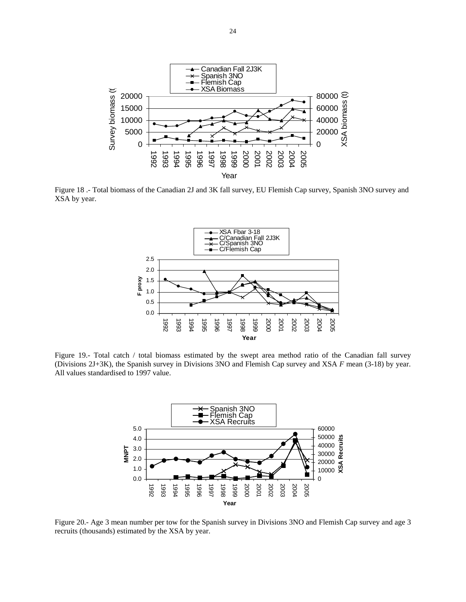

Figure 18 .- Total biomass of the Canadian 2J and 3K fall survey, EU Flemish Cap survey, Spanish 3NO survey and XSA by year.



Figure 19.- Total catch / total biomass estimated by the swept area method ratio of the Canadian fall survey (Divisions 2J+3K), the Spanish survey in Divisions 3NO and Flemish Cap survey and XSA *F* mean (3-18) by year. All values standardised to 1997 value.



Figure 20.- Age 3 mean number per tow for the Spanish survey in Divisions 3NO and Flemish Cap survey and age 3 recruits (thousands) estimated by the XSA by year.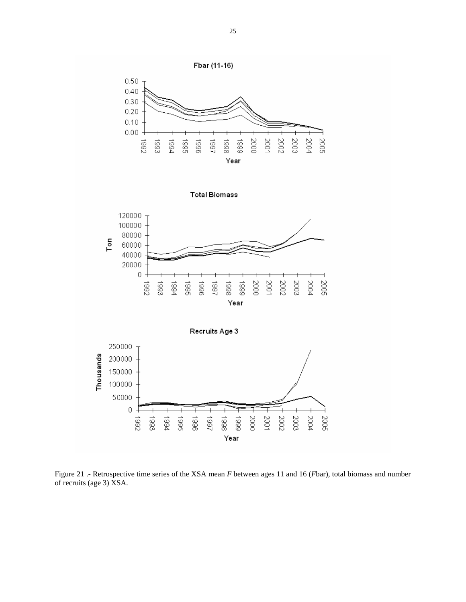

Figure 21 .- Retrospective time series of the XSA mean *F* between ages 11 and 16 (*F*bar), total biomass and number of recruits (age 3) XSA.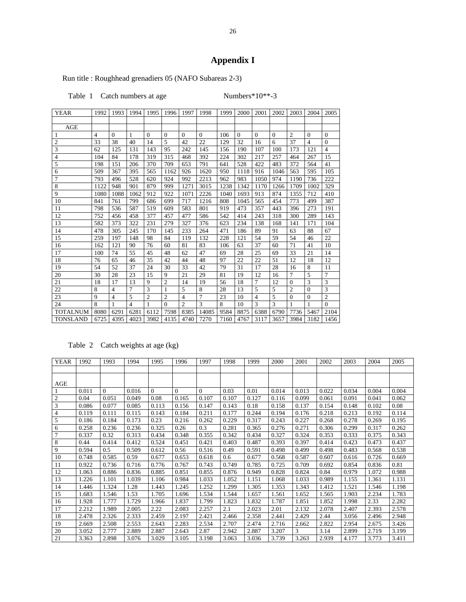# **Appendix I**

Run title : Roughhead grenadiers 05 (NAFO Subareas 2-3)

Table 1 Catch numbers at age Numbers\*10\*\*-3

| YEAR            | 1992           | 1993           | 1994 | 1995           | 1996           | 1997           | 1998     | 1999 | 2000         | 2001           | 2002     | 2003           | 2004           | 2005           |
|-----------------|----------------|----------------|------|----------------|----------------|----------------|----------|------|--------------|----------------|----------|----------------|----------------|----------------|
|                 |                |                |      |                |                |                |          |      |              |                |          |                |                |                |
| AGE             |                |                |      |                |                |                |          |      |              |                |          |                |                |                |
| 1               | $\overline{4}$ | $\mathbf{0}$   | 1    | $\overline{0}$ | $\mathbf{0}$   | $\mathbf{0}$   | $\Omega$ | 106  | $\mathbf{0}$ | $\overline{0}$ | $\theta$ | $\overline{2}$ | $\theta$       | $\overline{0}$ |
| $\mathfrak{2}$  | 33             | 38             | 40   | 14             | 5              | 42             | 22       | 129  | 32           | 16             | 6        | 37             | 4              | $\overline{0}$ |
| 3               | 62             | 125            | 131  | 143            | 95             | 242            | 145      | 156  | 190          | 107            | 100      | 173            | 121            | 4              |
| 4               | 104            | 84             | 178  | 319            | 315            | 468            | 392      | 224  | 302          | 217            | 257      | 464            | 267            | 15             |
| 5               | 198            | 151            | 206  | 370            | 709            | 653            | 791      | 641  | 528          | 422            | 483      | 372            | 564            | 41             |
| 6               | 509            | 367            | 395  | 565            | 1162           | 926            | 1620     | 950  | 1118         | 916            | 1046     | 563            | 595            | 105            |
| 7               | 793            | 496            | 528  | 620            | 924            | 992            | 2213     | 962  | 983          | 1050           | 974      | 1190           | 736            | 222            |
| 8               | 1122           | 948            | 901  | 879            | 999            | 1271           | 3015     | 1238 | 1342         | 1170           | 1266     | 1709           | 1002           | 329            |
| 9               | 1080           | 1088           | 1062 | 912            | 922            | 1071           | 2226     | 1040 | 1693         | 913            | 874      | 1355           | 712            | 410            |
| 10              | 841            | 761            | 799  | 686            | 699            | 717            | 1216     | 808  | 1045         | 565            | 454      | 773            | 499            | 387            |
| 11              | 798            | 536            | 587  | 519            | 609            | 583            | 801      | 919  | 473          | 357            | 443      | 396            | 273            | 191            |
| 12              | 752            | 456            | 458  | 377            | 457            | 477            | 586      | 542  | 414          | 243            | 318      | 300            | 289            | 143            |
| 13              | 582            | 373            | 322  | 231            | 279            | 327            | 376      | 623  | 234          | 138            | 168      | 141            | 171            | 104            |
| 14              | 478            | 305            | 245  | 170            | 145            | 233            | 264      | 471  | 186          | 89             | 91       | 63             | 88             | 67             |
| 15              | 259            | 197            | 148  | 98             | 84             | 119            | 132      | 228  | 121          | 54             | 59       | 54             | 46             | 22             |
| 16              | 162            | 121            | 90   | 76             | 60             | 81             | 83       | 106  | 63           | 37             | 60       | 71             | 41             | 10             |
| 17              | 100            | 74             | 55   | 45             | 48             | 62             | 47       | 69   | 28           | 25             | 69       | 33             | 21             | 14             |
| 18              | 76             | 65             | 46   | 35             | 42             | 44             | 48       | 97   | 22           | 22             | 51       | 12             | 18             | 12             |
| 19              | 54             | 52             | 37   | 24             | 30             | 33             | 42       | 79   | 31           | 17             | 28       | 16             | 8              | 11             |
| 20              | 30             | 28             | 23   | 15             | 9              | 21             | 29       | 81   | 19           | 12             | 16       | $\overline{7}$ | 5              | 7              |
| 21              | 18             | 17             | 13   | 9              | $\overline{2}$ | 14             | 19       | 56   | 18           | 7              | 12       | $\mathbf{0}$   | 3              | 3              |
| 22              | 8              | $\overline{4}$ | 7    | 3              | 1              | 5              | 8        | 28   | 13           | 5              | 5        | $\overline{c}$ | $\overline{0}$ | 3              |
| 23              | 9              | 4              | 5    | $\overline{2}$ | $\overline{c}$ | 4              | 7        | 23   | 10           | $\overline{4}$ | 5        | $\mathbf{0}$   | $\overline{0}$ | $\overline{2}$ |
| 24              | 8              | 1              | 4    | 1              | $\theta$       | $\overline{c}$ | 3        | 8    | 10           | 3              | 3        | $\mathbf{1}$   | 1              | $\theta$       |
| <b>TOTALNUM</b> | 8080           | 6291           | 6281 | 6112           | 7598           | 8385           | 14085    | 9584 | 8875         | 6388           | 6790     | 7736           | 5467           | 2104           |
| <b>TONSLAND</b> | 6725           | 4395           | 4023 | 3982           | 4135           | 4740           | 7270     | 7160 | 4767         | 3117           | 3657     | 3984           | 3182           | 1456           |

## Table 2 Catch weights at age (kg)

| <b>YEAR</b> | 1992  | 1993          | 1994  | 1995     | 1996     | 1997     | 1998  | 1999  | 2000  | 2001  | 2002  | 2003  | 2004  | 2005  |
|-------------|-------|---------------|-------|----------|----------|----------|-------|-------|-------|-------|-------|-------|-------|-------|
|             |       |               |       |          |          |          |       |       |       |       |       |       |       |       |
|             |       |               |       |          |          |          |       |       |       |       |       |       |       |       |
| AGE         |       |               |       |          |          |          |       |       |       |       |       |       |       |       |
|             | 0.011 | $\Omega$      | 0.016 | $\Omega$ | $\Omega$ | $\Omega$ | 0.03  | 0.01  | 0.014 | 0.013 | 0.022 | 0.034 | 0.004 | 0.004 |
| 2           | 0.04  | 0.051         | 0.049 | 0.08     | 0.165    | 0.107    | 0.107 | 0.127 | 0.116 | 0.099 | 0.061 | 0.091 | 0.041 | 0.062 |
| 3           | 0.086 | 0.077         | 0.085 | 0.113    | 0.156    | 0.147    | 0.143 | 0.18  | 0.158 | 0.137 | 0.154 | 0.148 | 0.102 | 0.08  |
| 4           | 0.119 | 0.111         | 0.115 | 0.143    | 0.184    | 0.211    | 0.177 | 0.244 | 0.194 | 0.176 | 0.218 | 0.213 | 0.192 | 0.114 |
| 5           | 0.186 | 0.184         | 0.173 | 0.23     | 0.216    | 0.262    | 0.229 | 0.317 | 0.243 | 0.227 | 0.268 | 0.278 | 0.269 | 0.195 |
| 6           | 0.258 | 0.236         | 0.236 | 0.325    | 0.26     | 0.3      | 0.281 | 0.365 | 0.276 | 0.271 | 0.306 | 0.299 | 0.317 | 0.262 |
| 7           | 0.337 | 0.32          | 0.313 | 0.434    | 0.348    | 0.355    | 0.342 | 0.434 | 0.327 | 0.324 | 0.353 | 0.333 | 0.375 | 0.343 |
| 8           | 0.44  | 0.414         | 0.412 | 0.524    | 0.451    | 0.421    | 0.403 | 0.487 | 0.393 | 0.397 | 0.414 | 0.423 | 0.473 | 0.437 |
| 9           | 0.594 | $0.5^{\circ}$ | 0.509 | 0.612    | 0.56     | 0.516    | 0.49  | 0.591 | 0.498 | 0.499 | 0.498 | 0.483 | 0.568 | 0.538 |
| 10          | 0.748 | 0.585         | 0.59  | 0.677    | 0.653    | 0.618    | 0.6   | 0.677 | 0.568 | 0.587 | 0.607 | 0.616 | 0.726 | 0.669 |
| 11          | 0.922 | 0.736         | 0.716 | 0.776    | 0.767    | 0.743    | 0.749 | 0.785 | 0.725 | 0.709 | 0.692 | 0.854 | 0.836 | 0.81  |
| 12          | 1.063 | 0.886         | 0.836 | 0.885    | 0.851    | 0.855    | 0.876 | 0.949 | 0.828 | 0.824 | 0.84  | 0.979 | 1.072 | 0.988 |
| 13          | 1.226 | 1.101         | 1.039 | 1.106    | 0.984    | 1.033    | 1.052 | 1.151 | 1.068 | 1.033 | 0.989 | 1.155 | 1.361 | 1.131 |
| 14          | 1.446 | 1.324         | 1.28  | 1.443    | 1.245    | 1.252    | 1.299 | 1.305 | 1.353 | 1.343 | 1.412 | 1.521 | 1.546 | 1.198 |
| 15          | 1.683 | 1.546         | 1.53  | 1.705    | 1.696    | 1.534    | 1.544 | .657  | 1.561 | 1.652 | 1.565 | 1.903 | 2.234 | 1.783 |
| 16          | 1.928 | 1.777         | 1.729 | 1.966    | 1.837    | 1.799    | 1.823 | 1.832 | 1.787 | 1.851 | 1.852 | 1.998 | 2.33  | 2.282 |
| 17          | 2.212 | 1.989         | 2.005 | 2.22     | 2.083    | 2.257    | 2.1   | 2.023 | 2.01  | 2.132 | 2.078 | 2.407 | 2.393 | 2.578 |
| 18          | 2.478 | 2.326         | 2.333 | 2.459    | 2.197    | 2.421    | 2.466 | 2.358 | 2.441 | 2.429 | 2.44  | 3.056 | 2.496 | 2.948 |
| 19          | 2.669 | 2.508         | 2.553 | 2.643    | 2.283    | 2.534    | 2.707 | 2.474 | 2.716 | 2.662 | 2.822 | 2.954 | 2.675 | 3.426 |
| 20          | 3.052 | 2.777         | 2.889 | 2.887    | 2.643    | 2.87     | 2.942 | 2.887 | 3.207 | 3     | 3.14  | 2.899 | 2.719 | 3.199 |
| 21          | 3.363 | 2.898         | 3.076 | 3.029    | 3.105    | 3.198    | 3.063 | 3.036 | 3.739 | 3.263 | 2.939 | 4.177 | 3.773 | 3.411 |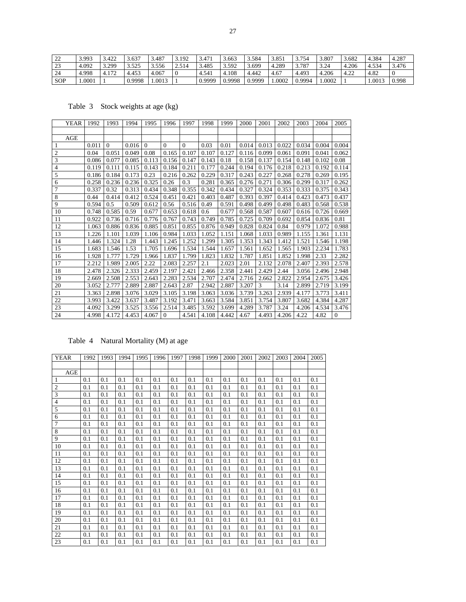| 22         | 3.993  | 3.422                  | 3.637  | 3.487 | 3.192 | 3.471  | 3.663  | 3.584  | 3.85  | 3.754  | 3.807 | 3.682           | 4.384  | +.287<br>4 |
|------------|--------|------------------------|--------|-------|-------|--------|--------|--------|-------|--------|-------|-----------------|--------|------------|
| 23         | 4.092  | 3.29 <sup>o</sup>      | 3.525  | 3.556 | 2.514 | 3.485  | 3.592  | 3.699  | 4.289 | 3.787  | 3.24  | 4.206           | 4.534  | 3.476      |
| 24         | 4.998  | 4.172<br>$\frac{4}{3}$ | 4.45?  | 067،  |       | 4.541  | 4.108  | 4.442  | 4.67  | 4.493  | 4.206 | $4.2^\circ$<br> | 4.82   |            |
| <b>SOP</b> | 1.0001 |                        | 0.9998 | .0013 |       | 0.9999 | 0.9998 | 0.9999 | .0002 | 0.9994 | .0002 |                 | 1.001? | 0.998      |

Table 3 Stock weights at age (kg)

| YEAR           | 1992  | 1993     | 1994  | 1995     | 1996     | 1997     | 1998  | 1999  | 2000  | 2001  | 2002  | 2003  | 2004  | 2005     |
|----------------|-------|----------|-------|----------|----------|----------|-------|-------|-------|-------|-------|-------|-------|----------|
|                |       |          |       |          |          |          |       |       |       |       |       |       |       |          |
| AGE            |       |          |       |          |          |          |       |       |       |       |       |       |       |          |
| 1              | 0.011 | $\Omega$ | 0.016 | $\theta$ | $\Omega$ | $\Omega$ | 0.03  | 0.01  | 0.014 | 0.013 | 0.022 | 0.034 | 0.004 | 0.004    |
| $\mathfrak{2}$ | 0.04  | 0.051    | 0.049 | 0.08     | 0.165    | 0.107    | 0.107 | 0.127 | 0.116 | 0.099 | 0.061 | 0.091 | 0.041 | 0.062    |
| 3              | 0.086 | 0.077    | 0.085 | 0.113    | 0.156    | 0.147    | 0.143 | 0.18  | 0.158 | 0.137 | 0.154 | 0.148 | 0.102 | 0.08     |
| 4              | 0.119 | 0.111    | 0.115 | 0.143    | 0.184    | 0.211    | 0.177 | 0.244 | 0.194 | 0.176 | 0.218 | 0.213 | 0.192 | 0.114    |
| 5              | 0.186 | 0.184    | 0.173 | 0.23     | 0.216    | 0.262    | 0.229 | 0.317 | 0.243 | 0.227 | 0.268 | 0.278 | 0.269 | 0.195    |
| 6              | 0.258 | 0.236    | 0.236 | 0.325    | 0.26     | 0.3      | 0.281 | 0.365 | 0.276 | 0.271 | 0.306 | 0.299 | 0.317 | 0.262    |
| $\overline{7}$ | 0.337 | 0.32     | 0.313 | 0.434    | 0.348    | 0.355    | 0.342 | 0.434 | 0.327 | 0.324 | 0.353 | 0.333 | 0.375 | 0.343    |
| 8              | 0.44  | 0.414    | 0.412 | 0.524    | 0.451    | 0.421    | 0.403 | 0.487 | 0.393 | 0.397 | 0.414 | 0.423 | 0.473 | 0.437    |
| 9              | 0.594 | 0.5      | 0.509 | 0.612    | 0.56     | 0.516    | 0.49  | 0.591 | 0.498 | 0.499 | 0.498 | 0.483 | 0.568 | 0.538    |
| 10             | 0.748 | 0.585    | 0.59  | 0.677    | 0.653    | 0.618    | 0.6   | 0.677 | 0.568 | 0.587 | 0.607 | 0.616 | 0.726 | 0.669    |
| 11             | 0.922 | 0.736    | 0.716 | 0.776    | 0.767    | 0.743    | 0.749 | 0.785 | 0.725 | 0.709 | 0.692 | 0.854 | 0.836 | 0.81     |
| 12             | 1.063 | 0.886    | 0.836 | 0.885    | 0.851    | 0.855    | 0.876 | 0.949 | 0.828 | 0.824 | 0.84  | 0.979 | 1.072 | 0.988    |
| 13             | 1.226 | 1.101    | 1.039 | 1.106    | 0.984    | 1.033    | 1.052 | 1.151 | 1.068 | 1.033 | 0.989 | 1.155 | 1.361 | 1.131    |
| 14             | 1.446 | 1.324    | 1.28  | 1.443    | 1.245    | 1.252    | 1.299 | 1.305 | 1.353 | 1.343 | 1.412 | 1.521 | 1.546 | 1.198    |
| 15             | 1.683 | 1.546    | 1.53  | 1.705    | 1.696    | 1.534    | 1.544 | 1.657 | 1.561 | 1.652 | 1.565 | 1.903 | 2.234 | 1.783    |
| 16             | 1.928 | 1.777    | 1.729 | 1.966    | 1.837    | 1.799    | 1.823 | 1.832 | 1.787 | 1.851 | 1.852 | 1.998 | 2.33  | 2.282    |
| 17             | 2.212 | 1.989    | 2.005 | 2.22     | 2.083    | 2.257    | 2.1   | 2.023 | 2.01  | 2.132 | 2.078 | 2.407 | 2.393 | 2.578    |
| 18             | 2.478 | 2.326    | 2.333 | 2.459    | 2.197    | 2.421    | 2.466 | 2.358 | 2.441 | 2.429 | 2.44  | 3.056 | 2.496 | 2.948    |
| 19             | 2.669 | 2.508    | 2.553 | 2.643    | 2.283    | 2.534    | 2.707 | 2.474 | 2.716 | 2.662 | 2.822 | 2.954 | 2.675 | 3.426    |
| 20             | 3.052 | 2.777    | 2.889 | 2.887    | 2.643    | 2.87     | 2.942 | 2.887 | 3.207 | 3     | 3.14  | 2.899 | 2.719 | 3.199    |
| 21             | 3.363 | 2.898    | 3.076 | 3.029    | 3.105    | 3.198    | 3.063 | 3.036 | 3.739 | 3.263 | 2.939 | 4.177 | 3.773 | 3.411    |
| 22             | 3.993 | 3.422    | 3.637 | 3.487    | 3.192    | 3.471    | 3.663 | 3.584 | 3.851 | 3.754 | 3.807 | 3.682 | 4.384 | 4.287    |
| 23             | 4.092 | 3.299    | 3.525 | 3.556    | 2.514    | 3.485    | 3.592 | 3.699 | 4.289 | 3.787 | 3.24  | 4.206 | 4.534 | 3.476    |
| 24             | 4.998 | 4.172    | 4.453 | 4.067    | $\Omega$ | 4.541    | 4.108 | 4.442 | 4.67  | 4.493 | 4.206 | 4.22  | 4.82  | $\Omega$ |

## Table 4 Natural Mortality (M) at age

| <b>YEAR</b> | 1992 | 1993 | 1994 | 1995 | 1996 | 1997 | 1998 | 1999 | 2000 | 2001 | 2002 | 2003 | 2004 | 2005 |
|-------------|------|------|------|------|------|------|------|------|------|------|------|------|------|------|
|             |      |      |      |      |      |      |      |      |      |      |      |      |      |      |
| AGE         |      |      |      |      |      |      |      |      |      |      |      |      |      |      |
| 1           | 0.1  | 0.1  | 0.1  | 0.1  | 0.1  | 0.1  | 0.1  | 0.1  | 0.1  | 0.1  | 0.1  | 0.1  | 0.1  | 0.1  |
| $\sqrt{2}$  | 0.1  | 0.1  | 0.1  | 0.1  | 0.1  | 0.1  | 0.1  | 0.1  | 0.1  | 0.1  | 0.1  | 0.1  | 0.1  | 0.1  |
| 3           | 0.1  | 0.1  | 0.1  | 0.1  | 0.1  | 0.1  | 0.1  | 0.1  | 0.1  | 0.1  | 0.1  | 0.1  | 0.1  | 0.1  |
| 4           | 0.1  | 0.1  | 0.1  | 0.1  | 0.1  | 0.1  | 0.1  | 0.1  | 0.1  | 0.1  | 0.1  | 0.1  | 0.1  | 0.1  |
| 5           | 0.1  | 0.1  | 0.1  | 0.1  | 0.1  | 0.1  | 0.1  | 0.1  | 0.1  | 0.1  | 0.1  | 0.1  | 0.1  | 0.1  |
| 6           | 0.1  | 0.1  | 0.1  | 0.1  | 0.1  | 0.1  | 0.1  | 0.1  | 0.1  | 0.1  | 0.1  | 0.1  | 0.1  | 0.1  |
| 7           | 0.1  | 0.1  | 0.1  | 0.1  | 0.1  | 0.1  | 0.1  | 0.1  | 0.1  | 0.1  | 0.1  | 0.1  | 0.1  | 0.1  |
| 8           | 0.1  | 0.1  | 0.1  | 0.1  | 0.1  | 0.1  | 0.1  | 0.1  | 0.1  | 0.1  | 0.1  | 0.1  | 0.1  | 0.1  |
| 9           | 0.1  | 0.1  | 0.1  | 0.1  | 0.1  | 0.1  | 0.1  | 0.1  | 0.1  | 0.1  | 0.1  | 0.1  | 0.1  | 0.1  |
| 10          | 0.1  | 0.1  | 0.1  | 0.1  | 0.1  | 0.1  | 0.1  | 0.1  | 0.1  | 0.1  | 0.1  | 0.1  | 0.1  | 0.1  |
| 11          | 0.1  | 0.1  | 0.1  | 0.1  | 0.1  | 0.1  | 0.1  | 0.1  | 0.1  | 0.1  | 0.1  | 0.1  | 0.1  | 0.1  |
| 12          | 0.1  | 0.1  | 0.1  | 0.1  | 0.1  | 0.1  | 0.1  | 0.1  | 0.1  | 0.1  | 0.1  | 0.1  | 0.1  | 0.1  |
| 13          | 0.1  | 0.1  | 0.1  | 0.1  | 0.1  | 0.1  | 0.1  | 0.1  | 0.1  | 0.1  | 0.1  | 0.1  | 0.1  | 0.1  |
| 14          | 0.1  | 0.1  | 0.1  | 0.1  | 0.1  | 0.1  | 0.1  | 0.1  | 0.1  | 0.1  | 0.1  | 0.1  | 0.1  | 0.1  |
| 15          | 0.1  | 0.1  | 0.1  | 0.1  | 0.1  | 0.1  | 0.1  | 0.1  | 0.1  | 0.1  | 0.1  | 0.1  | 0.1  | 0.1  |
| 16          | 0.1  | 0.1  | 0.1  | 0.1  | 0.1  | 0.1  | 0.1  | 0.1  | 0.1  | 0.1  | 0.1  | 0.1  | 0.1  | 0.1  |
| 17          | 0.1  | 0.1  | 0.1  | 0.1  | 0.1  | 0.1  | 0.1  | 0.1  | 0.1  | 0.1  | 0.1  | 0.1  | 0.1  | 0.1  |
| 18          | 0.1  | 0.1  | 0.1  | 0.1  | 0.1  | 0.1  | 0.1  | 0.1  | 0.1  | 0.1  | 0.1  | 0.1  | 0.1  | 0.1  |
| 19          | 0.1  | 0.1  | 0.1  | 0.1  | 0.1  | 0.1  | 0.1  | 0.1  | 0.1  | 0.1  | 0.1  | 0.1  | 0.1  | 0.1  |
| 20          | 0.1  | 0.1  | 0.1  | 0.1  | 0.1  | 0.1  | 0.1  | 0.1  | 0.1  | 0.1  | 0.1  | 0.1  | 0.1  | 0.1  |
| 21          | 0.1  | 0.1  | 0.1  | 0.1  | 0.1  | 0.1  | 0.1  | 0.1  | 0.1  | 0.1  | 0.1  | 0.1  | 0.1  | 0.1  |
| 22          | 0.1  | 0.1  | 0.1  | 0.1  | 0.1  | 0.1  | 0.1  | 0.1  | 0.1  | 0.1  | 0.1  | 0.1  | 0.1  | 0.1  |
| 23          | 0.1  | 0.1  | 0.1  | 0.1  | 0.1  | 0.1  | 0.1  | 0.1  | 0.1  | 0.1  | 0.1  | 0.1  | 0.1  | 0.1  |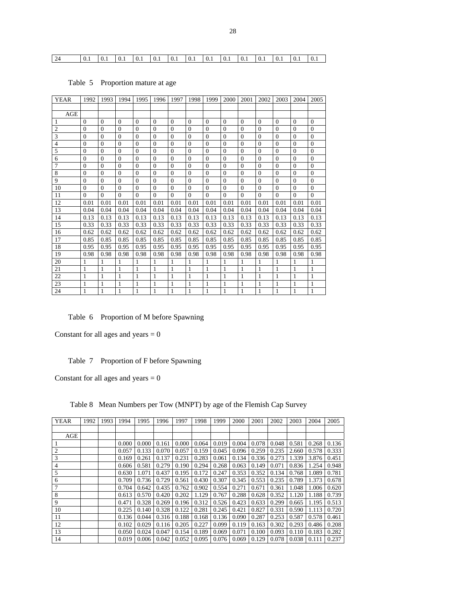24 0.1 0.1 0.1 0.1 0.1 0.1 0.1 0.1 0.1 0.1 0.1 0.1 0.1 0.1

| <b>YEAR</b>    | 1992         | 1993         | 1994           | 1995         | 1996           | 1997         | 1998     | 1999           | 2000         | 2001         | 2002     | 2003         | 2004         | 2005     |
|----------------|--------------|--------------|----------------|--------------|----------------|--------------|----------|----------------|--------------|--------------|----------|--------------|--------------|----------|
|                |              |              |                |              |                |              |          |                |              |              |          |              |              |          |
| AGE            |              |              |                |              |                |              |          |                |              |              |          |              |              |          |
| 1              | $\mathbf{0}$ | $\mathbf{0}$ | $\overline{0}$ | $\mathbf{0}$ | $\mathbf{0}$   | $\theta$     | $\Omega$ | $\overline{0}$ | $\theta$     | $\mathbf{0}$ | $\Omega$ | $\Omega$     | $\mathbf{0}$ | $\Omega$ |
| $\overline{2}$ | $\theta$     | $\Omega$     | $\Omega$       | $\Omega$     | $\mathbf{0}$   | $\Omega$     | $\Omega$ | $\Omega$       | $\Omega$     | $\Omega$     | $\Omega$ | $\Omega$     | $\mathbf{0}$ | $\Omega$ |
| 3              | $\mathbf{0}$ | $\mathbf{0}$ | $\overline{0}$ | $\mathbf{0}$ | $\overline{0}$ | $\Omega$     | $\Omega$ | $\overline{0}$ | $\Omega$     | $\mathbf{0}$ | $\Omega$ | $\Omega$     | $\mathbf{0}$ | $\Omega$ |
| $\overline{4}$ | $\mathbf{0}$ | $\mathbf{0}$ | $\overline{0}$ | $\mathbf{0}$ | $\overline{0}$ | $\Omega$     | $\Omega$ | $\overline{0}$ | $\Omega$     | $\Omega$     | $\Omega$ | $\Omega$     | $\mathbf{0}$ | $\Omega$ |
| 5              | $\mathbf{0}$ | $\mathbf{0}$ | $\Omega$       | $\Omega$     | $\overline{0}$ | $\Omega$     | $\Omega$ | $\Omega$       | $\Omega$     | $\mathbf{0}$ | $\Omega$ | $\Omega$     | $\mathbf{0}$ | $\Omega$ |
| 6              | $\theta$     | $\mathbf{0}$ | $\Omega$       | $\Omega$     | $\overline{0}$ | $\Omega$     | $\Omega$ | $\overline{0}$ | $\Omega$     | $\mathbf{0}$ | $\Omega$ | $\Omega$     | $\mathbf{0}$ | $\Omega$ |
| 7              | $\mathbf{0}$ | $\mathbf{0}$ | $\overline{0}$ | $\mathbf{0}$ | $\overline{0}$ | $\Omega$     | $\Omega$ | $\overline{0}$ | $\mathbf{0}$ | $\mathbf{0}$ | $\Omega$ | $\Omega$     | $\mathbf{0}$ | $\Omega$ |
| 8              | $\theta$     | $\mathbf{0}$ | $\Omega$       | $\theta$     | $\overline{0}$ | $\Omega$     | $\Omega$ | $\Omega$       | $\Omega$     | $\Omega$     | $\Omega$ | $\Omega$     | $\Omega$     | $\Omega$ |
| 9              | $\mathbf{0}$ | $\mathbf{0}$ | $\Omega$       | $\Omega$     | $\overline{0}$ | $\Omega$     | $\Omega$ | $\Omega$       | $\Omega$     | $\mathbf{0}$ | $\Omega$ | $\Omega$     | $\mathbf{0}$ | $\Omega$ |
| 10             | $\theta$     | $\Omega$     | $\Omega$       | $\Omega$     | $\theta$       | $\Omega$     | $\Omega$ | $\Omega$       | $\Omega$     | $\Omega$     | $\Omega$ | $\Omega$     | $\Omega$     | $\Omega$ |
| 11             | $\theta$     | $\Omega$     | $\Omega$       | $\Omega$     | $\Omega$       | $\Omega$     | $\Omega$ | $\Omega$       | $\Omega$     | $\Omega$     | $\Omega$ | $\Omega$     | $\Omega$     | $\Omega$ |
| 12             | 0.01         | 0.01         | 0.01           | 0.01         | 0.01           | 0.01         | 0.01     | 0.01           | 0.01         | 0.01         | 0.01     | 0.01         | 0.01         | 0.01     |
| 13             | 0.04         | 0.04         | 0.04           | 0.04         | 0.04           | 0.04         | 0.04     | 0.04           | 0.04         | 0.04         | 0.04     | 0.04         | 0.04         | 0.04     |
| 14             | 0.13         | 0.13         | 0.13           | 0.13         | 0.13           | 0.13         | 0.13     | 0.13           | 0.13         | 0.13         | 0.13     | 0.13         | 0.13         | 0.13     |
| 15             | 0.33         | 0.33         | 0.33           | 0.33         | 0.33           | 0.33         | 0.33     | 0.33           | 0.33         | 0.33         | 0.33     | 0.33         | 0.33         | 0.33     |
| 16             | 0.62         | 0.62         | 0.62           | 0.62         | 0.62           | 0.62         | 0.62     | 0.62           | 0.62         | 0.62         | 0.62     | 0.62         | 0.62         | 0.62     |
| 17             | 0.85         | 0.85         | 0.85           | 0.85         | 0.85           | 0.85         | 0.85     | 0.85           | 0.85         | 0.85         | 0.85     | 0.85         | 0.85         | 0.85     |
| 18             | 0.95         | 0.95         | 0.95           | 0.95         | 0.95           | 0.95         | 0.95     | 0.95           | 0.95         | 0.95         | 0.95     | 0.95         | 0.95         | 0.95     |
| 19             | 0.98         | 0.98         | 0.98           | 0.98         | 0.98           | 0.98         | 0.98     | 0.98           | 0.98         | 0.98         | 0.98     | 0.98         | 0.98         | 0.98     |
| 20             | 1            | 1            | 1              | 1            | 1              | 1            |          | 1              | 1            | 1            | 1        | 1            | 1            | 1        |
| 21             | 1            | 1            | 1              | 1            | 1              | 1            | 1        | 1              | 1            | 1            | 1        | 1            | 1            | 1        |
| 22             | 1            | 1            | 1              | $\mathbf{1}$ | 1              | 1            | 1        | 1              | 1            | 1            | 1        | 1            | 1            | 1        |
| 23             | $\mathbf{1}$ | 1            | 1              | $\mathbf{1}$ | 1              | $\mathbf{1}$ | 1        | $\mathbf{1}$   | 1            | 1            | 1        | $\mathbf{1}$ | 1            | 1        |
| 24             | 1            | 1            | 1              | 1            | 1              | 1            |          | 1              | 1            | 1            | 1        | 1            | 1            | 1        |

## Table 5 Proportion mature at age

#### Table 6 Proportion of M before Spawning

Constant for all ages and years  $= 0$ 

## Table 7 Proportion of F before Spawning

Constant for all ages and years  $= 0$ 

Table 8 Mean Numbers per Tow (MNPT) by age of the Flemish Cap Survey

| <b>YEAR</b> | 1992 | 1993 | 1994  | 1995  | 1996  | 1997  | 1998  | 1999  | 2000  | 2001  | 2002  | 2003              | 2004  | 2005  |
|-------------|------|------|-------|-------|-------|-------|-------|-------|-------|-------|-------|-------------------|-------|-------|
|             |      |      |       |       |       |       |       |       |       |       |       |                   |       |       |
| AGE         |      |      |       |       |       |       |       |       |       |       |       |                   |       |       |
|             |      |      | 0.000 | 0.000 | 0.161 | 0.000 | 0.064 | 0.019 | 0.004 | 0.078 | 0.048 | 0.581             | 0.268 | 0.136 |
| 2           |      |      | 0.057 | 0.133 | 0.070 | 0.057 | 0.159 | 0.045 | 0.096 | 0.259 | 0.235 | 2.660             | 0.578 | 0.333 |
| 3           |      |      | 0.169 | 0.261 | 0.137 | 0.231 | 0.283 | 0.061 | 0.134 | 0.336 | 0.273 | 1.339             | 3.876 | 0.451 |
| 4           |      |      | 0.606 | 0.581 | 0.279 | 0.190 | 0.294 | 0.268 | 0.063 | 0.149 | 0.071 | 0.836             | 1.254 | 0.948 |
| 5           |      |      | 0.630 | 1.071 | 0.437 | 0.195 | 0.172 | 0.247 | 0.353 | 0.352 | 0.134 | 0.768             | 1.089 | 0.781 |
| 6           |      |      | 0.709 | 0.736 | 0.729 | 0.561 | 0.430 | 0.307 | 0.345 | 0.553 | 0.235 | 0.789             | 1.373 | 0.678 |
| 7           |      |      | 0.704 | 0.642 | 0.435 | 0.762 | 0.902 | 0.554 | 0.271 | 0.671 | 0.361 | 1.048             | 1.006 | 0.620 |
| 8           |      |      | 0.613 | 0.570 | 0.420 | 0.202 | 1.129 | 0.767 | 0.288 | 0.628 | 0.352 | 1.120             | 1.188 | 0.739 |
| 9           |      |      | 0.471 | 0.328 | 0.269 | 0.196 | 0.312 | 0.526 | 0.423 | 0.633 | 0.299 | 0.665             | 1.195 | 0.513 |
| 10          |      |      | 0.225 | 0.140 | 0.328 | 0.122 | 0.281 | 0.245 | 0.421 | 0.827 | 0.331 | 0.590             | 1.113 | 0.720 |
| 11          |      |      | 0.136 | 0.044 | 0.316 | 0.188 | 0.168 | 0.136 | 0.090 | 0.287 | 0.253 | 0.587             | 0.578 | 0.461 |
| 12          |      |      | 0.102 | 0.029 | 0.116 | 0.205 | 0.227 | 0.099 | 0.119 | 0.163 | 0.302 | 0.293             | 0.486 | 0.208 |
| 13          |      |      | 0.050 | 0.024 | 0.047 | 0.154 | 0.189 | 0.069 | 0.071 | 0.100 | 0.093 | 0.110             | 0.183 | 0.282 |
| 14          |      |      | 0.019 | 0.006 | 0.042 | 0.052 | 0.095 | 0.076 | 0.069 | 0.129 | 0.078 | $0.038 \pm 0.111$ |       | 0.237 |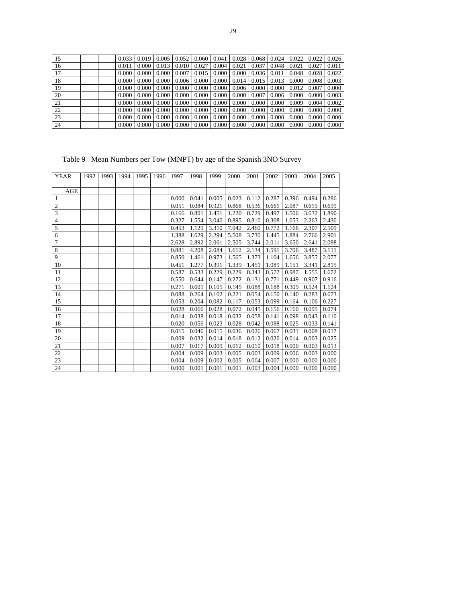| 15 | 0.033 | 0.019 |                   | $0.005 \pm 0.052$ |              | $0.060 \pm 0.041 \pm 0.041$ |                    | $0.028$   0.068   0.024       |       | $0.022$ |       | $0.022 \mid 0.026$ |
|----|-------|-------|-------------------|-------------------|--------------|-----------------------------|--------------------|-------------------------------|-------|---------|-------|--------------------|
| 16 | 0.011 | 0.000 | 0.013             | 0.010             | 0.027        | 0.004                       | $0.021 \pm 0.037$  |                               | 0.048 | 0.021   | 0.027 | 0.011              |
| 17 | 0.000 | 0.000 | $0.000\downarrow$ | 0.007             | 0.015        | 0.000                       |                    | $0.000 \mid 0.036 \mid 0.011$ |       | 0.048   | 0.028 | 0.022              |
| 18 | 0.000 | 0.000 | 0.0001            | 0.006             | 0.000        | 0.000                       |                    | $0.014$   0.015   0.013       |       | 0.000   | 0.008 | 0.003              |
| 19 | 0.000 | 0.000 | 0.0001            | 0.000             | 0.000        | 0.000                       |                    | $0.006 \pm 0.000 \pm 0.000$   |       | 0.012   | 0.007 | 0.000              |
| 20 | 0.000 | 0.000 | $0.000\downarrow$ | 0.000             | $0.000\perp$ | 0.000                       | $0.000 \mid 0.007$ |                               | 0.006 | 0.000   | 0.000 | 0.003              |
| 21 | 0.000 | 0.000 | 0.0001            | 0.000             | 0.000        | 0.000                       | 0.000              | 0.000                         | 0.000 | 0.009   | 0.004 | 0.002              |
| 22 | 0.000 | 0.000 | 0.0001            | 0.000             | 0.000        | 0.000                       |                    | $0.000 \pm 0.000$             | 0.000 | 0.000   | 0.000 | 0.000              |
| 23 | 0.000 | 0.000 | $0.000\downarrow$ | 0.000             | 0.000        | 0.000                       | $0.000 \mid 0.000$ |                               | 0.000 | 0.000   | 0.000 | 0.000              |
| 24 | 0.000 | 0.000 | 0.000             | 0.000             | $0.000\perp$ | 0.000                       | $0.000 \mid 0.000$ |                               | 0.000 | 0.000   | 0.000 | 0.000              |

Table 9 Mean Numbers per Tow (MNPT) by age of the Spanish 3NO Survey

| <b>YEAR</b>             | 1992 | 1993 | 1994 | 1995 | 1996 | 1997  | 1998  | 1999  | 2000  | 2001  | 2002  | 2003  | 2004  | 2005  |
|-------------------------|------|------|------|------|------|-------|-------|-------|-------|-------|-------|-------|-------|-------|
|                         |      |      |      |      |      |       |       |       |       |       |       |       |       |       |
| AGE                     |      |      |      |      |      |       |       |       |       |       |       |       |       |       |
| 1                       |      |      |      |      |      | 0.000 | 0.041 | 0.005 | 0.023 | 0.112 | 0.287 | 0.396 | 0.494 | 0.286 |
| $\overline{c}$          |      |      |      |      |      | 0.051 | 0.084 | 0.921 | 0.868 | 0.536 | 0.661 | 2.087 | 0.615 | 0.699 |
| $\overline{\mathbf{3}}$ |      |      |      |      |      | 0.166 | 0.801 | 1.451 | 1.220 | 0.729 | 0.497 | 1.506 | 3.632 | 1.890 |
| $\overline{4}$          |      |      |      |      |      | 0.327 | 1.554 | 3.040 | 0.895 | 0.810 | 0.308 | 1.053 | 2.263 | 2.430 |
| 5                       |      |      |      |      |      | 0.453 | 1.129 | 3.310 | 7.042 | 2.460 | 0.772 | 1.166 | 2.307 | 2.509 |
| 6                       |      |      |      |      |      | 1.388 | 1.629 | 2.294 | 5.508 | 3.730 | 1.445 | 1.884 | 2.766 | 2.901 |
| 7                       |      |      |      |      |      | 2.628 | 2.892 | 2.061 | 2.505 | 3.744 | 2.011 | 3.650 | 2.641 | 2.098 |
| $\,$ 8 $\,$             |      |      |      |      |      | 0.881 | 4.208 | 2.084 | 1.612 | 2.134 | 1.591 | 3.706 | 3.487 | 3.111 |
| 9                       |      |      |      |      |      | 0.850 | 1.461 | 0.973 | 1.565 | 1.373 | 1.104 | 1.656 | 3.855 | 2.077 |
| 10                      |      |      |      |      |      | 0.451 | 1.277 | 0.391 | 1.339 | 1.451 | 1.089 | 1.151 | 3.341 | 2.815 |
| 11                      |      |      |      |      |      | 0.587 | 0.533 | 0.229 | 0.229 | 0.343 | 0.577 | 0.987 | 1.555 | 1.672 |
| 12                      |      |      |      |      |      | 0.550 | 0.644 | 0.147 | 0.272 | 0.131 | 0.771 | 0.449 | 0.907 | 0.916 |
| 13                      |      |      |      |      |      | 0.271 | 0.605 | 0.105 | 0.145 | 0.088 | 0.188 | 0.309 | 0.524 | 1.124 |
| 14                      |      |      |      |      |      | 0.088 | 0.264 | 0.102 | 0.221 | 0.054 | 0.150 | 0.140 | 0.283 | 0.673 |
| 15                      |      |      |      |      |      | 0.053 | 0.204 | 0.082 | 0.117 | 0.053 | 0.099 | 0.164 | 0.106 | 0.227 |
| 16                      |      |      |      |      |      | 0.028 | 0.066 | 0.028 | 0.072 | 0.045 | 0.156 | 0.160 | 0.095 | 0.074 |
| 17                      |      |      |      |      |      | 0.014 | 0.038 | 0.018 | 0.032 | 0.058 | 0.141 | 0.098 | 0.043 | 0.110 |
| 18                      |      |      |      |      |      | 0.020 | 0.056 | 0.023 | 0.028 | 0.042 | 0.088 | 0.025 | 0.033 | 0.141 |
| 19                      |      |      |      |      |      | 0.015 | 0.046 | 0.015 | 0.036 | 0.026 | 0.067 | 0.031 | 0.008 | 0.017 |
| 20                      |      |      |      |      |      | 0.009 | 0.032 | 0.014 | 0.018 | 0.012 | 0.020 | 0.014 | 0.003 | 0.025 |
| 21                      |      |      |      |      |      | 0.007 | 0.017 | 0.009 | 0.012 | 0.010 | 0.018 | 0.000 | 0.003 | 0.013 |
| 22                      |      |      |      |      |      | 0.004 | 0.009 | 0.003 | 0.005 | 0.003 | 0.009 | 0.006 | 0.003 | 0.000 |
| 23                      |      |      |      |      |      | 0.004 | 0.009 | 0.002 | 0.005 | 0.004 | 0.007 | 0.000 | 0.000 | 0.000 |
| 24                      |      |      |      |      |      | 0.000 | 0.001 | 0.001 | 0.001 | 0.003 | 0.004 | 0.000 | 0.000 | 0.000 |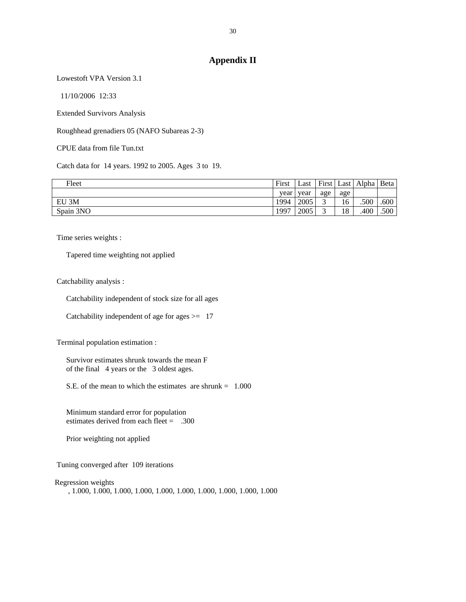## **Appendix II**

Lowestoft VPA Version 3.1

11/10/2006 12:33

Extended Survivors Analysis

Roughhead grenadiers 05 (NAFO Subareas 2-3)

CPUE data from file Tun.txt

Catch data for 14 years. 1992 to 2005. Ages 3 to 19.

| Fleet     | First | ∟ast | First | Last              | Alpha   Beta |      |
|-----------|-------|------|-------|-------------------|--------------|------|
|           | vear  | year | age   | age               |              |      |
| EU 3M     | 1994  | 2005 |       | $\epsilon$<br>16. | .500         | .600 |
| Spain 3NO | 1997  | 2005 |       | 18                | .400         | .500 |

Time series weights :

Tapered time weighting not applied

Catchability analysis :

Catchability independent of stock size for all ages

Catchability independent of age for ages  $\ge$  17

Terminal population estimation :

 Survivor estimates shrunk towards the mean F of the final 4 years or the 3 oldest ages.

S.E. of the mean to which the estimates are shrunk  $= 1.000$ 

 Minimum standard error for population estimates derived from each fleet = .300

Prior weighting not applied

Tuning converged after 109 iterations

Regression weights

, 1.000, 1.000, 1.000, 1.000, 1.000, 1.000, 1.000, 1.000, 1.000, 1.000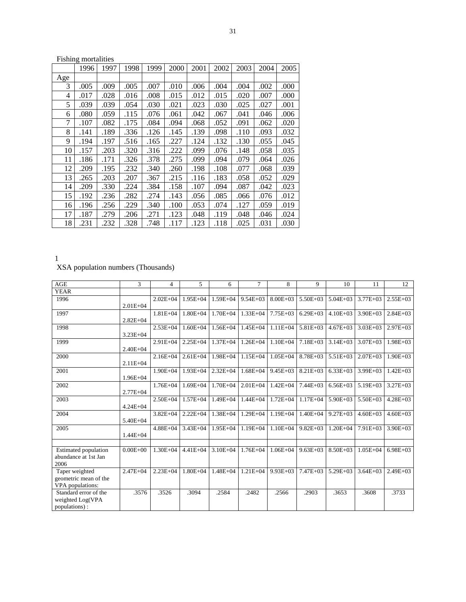|     | <b>Fishing mortalities</b> |      |      |      |      |      |      |      |      |      |  |  |
|-----|----------------------------|------|------|------|------|------|------|------|------|------|--|--|
|     | 1996                       | 1997 | 1998 | 1999 | 2000 | 2001 | 2002 | 2003 | 2004 | 2005 |  |  |
| Age |                            |      |      |      |      |      |      |      |      |      |  |  |
| 3   | .005                       | .009 | .005 | .007 | .010 | .006 | .004 | .004 | .002 | .000 |  |  |
| 4   | .017                       | .028 | .016 | .008 | .015 | .012 | .015 | .020 | .007 | .000 |  |  |
| 5   | .039                       | .039 | .054 | .030 | .021 | .023 | .030 | .025 | .027 | .001 |  |  |
| 6   | .080                       | .059 | .115 | .076 | .061 | .042 | .067 | .041 | .046 | .006 |  |  |
| 7   | .107                       | .082 | .175 | .084 | .094 | .068 | .052 | .091 | .062 | .020 |  |  |
| 8   | .141                       | .189 | .336 | .126 | .145 | .139 | .098 | .110 | .093 | .032 |  |  |
| 9   | .194                       | .197 | .516 | .165 | .227 | .124 | .132 | .130 | .055 | .045 |  |  |
| 10  | .157                       | .203 | .320 | .316 | .222 | .099 | .076 | .148 | .058 | .035 |  |  |
| 11  | .186                       | .171 | .326 | .378 | .275 | .099 | .094 | .079 | .064 | .026 |  |  |
| 12  | .209                       | .195 | .232 | .340 | .260 | .198 | .108 | .077 | .068 | .039 |  |  |
| 13  | .265                       | .203 | .207 | .367 | .215 | .116 | .183 | .058 | .052 | .029 |  |  |
| 14  | .209                       | .330 | .224 | .384 | .158 | .107 | .094 | .087 | .042 | .023 |  |  |
| 15  | .192                       | .236 | .282 | .274 | .143 | .056 | .085 | .066 | .076 | .012 |  |  |
| 16  | .196                       | .256 | .229 | .340 | .100 | .053 | .074 | .127 | .059 | .019 |  |  |
| 17  | .187                       | .279 | .206 | .271 | .123 | .048 | .119 | .048 | .046 | .024 |  |  |
| 18  | .231                       | .232 | .328 | .748 | .117 | .123 | .118 | .025 | .031 | .030 |  |  |

1

XSA population numbers (Thousands)

| AGE                                                         | 3            | $\overline{4}$ | 5            | 6            | 7            | 8            | 9            | 10           | 11           | 12           |
|-------------------------------------------------------------|--------------|----------------|--------------|--------------|--------------|--------------|--------------|--------------|--------------|--------------|
| <b>YEAR</b>                                                 |              |                |              |              |              |              |              |              |              |              |
| 1996                                                        | $2.01E + 04$ | $2.02E + 04$   | $1.95E + 04$ | $1.59E + 04$ | $9.54E + 03$ | $8.00E + 03$ | $5.50E + 03$ | $5.04E + 03$ | $3.77E + 03$ | $2.55E+03$   |
| 1997                                                        | $2.82E + 04$ | $1.81E + 04$   | $1.80E + 04$ | $1.70E + 04$ | $1.33E + 04$ | $7.75E + 03$ | $6.29E + 03$ | $4.10E + 03$ | $3.90E + 03$ | $2.84E+03$   |
| 1998                                                        | $3.23E + 04$ | $2.53E + 04$   | $1.60E + 04$ | $1.56E + 04$ | $1.45E + 04$ | $1.11E + 04$ | $5.81E+03$   | $4.67E + 03$ | $3.03E + 03$ | $2.97E + 03$ |
| 1999                                                        | $2.40E + 04$ | $2.91E + 04$   | $2.25E + 04$ | $1.37E + 04$ | $1.26E + 04$ | $1.10E + 04$ | $7.18E + 03$ | $3.14E + 03$ | $3.07E + 03$ | $1.98E + 03$ |
| 2000                                                        | $2.11E + 04$ | $2.16E + 04$   | $2.61E + 04$ | $1.98E + 04$ | $1.15E + 04$ | $1.05E + 04$ | $8.78E + 03$ | $5.51E + 03$ | $2.07E + 03$ | 1.90E+03     |
| 2001                                                        | $1.96E + 04$ | $1.90E + 04$   | $1.93E + 04$ | $2.32E + 04$ | $1.68E + 04$ | $9.45E + 03$ | $8.21E + 03$ | $6.33E + 03$ | $3.99E + 03$ | $1.42E + 03$ |
| 2002                                                        | $2.77E + 04$ | $1.76E + 04$   | $1.69E + 04$ | $1.70E + 04$ | $2.01E + 04$ | $1.42E + 04$ | $7.44E + 03$ | $6.56E + 03$ | $5.19E + 03$ | $3.27E + 03$ |
| 2003                                                        | $4.24E + 04$ | $2.50E + 04$   | $1.57E + 04$ | 1.49E+04     | $1.44E + 04$ | $1.72E + 04$ | $1.17E + 04$ | $5.90E + 03$ | $5.50E + 03$ | $4.28E + 03$ |
| 2004                                                        | 5.40E+04     | $3.82E + 04$   | $2.22E + 04$ | $1.38E + 04$ | $1.29E + 04$ | $1.19E + 04$ | $1.40E + 04$ | $9.27E + 03$ | $4.60E + 03$ | $4.60E + 03$ |
| 2005                                                        | $1.44E + 04$ | $4.88E + 04$   | $3.43E + 04$ | $1.95E + 04$ | $1.19E + 04$ | $1.10E + 04$ | $9.82E + 03$ | $1.20E + 04$ | $7.91E + 03$ | $3.90E + 03$ |
|                                                             |              |                |              |              |              |              |              |              |              |              |
| <b>Estimated population</b><br>abundance at 1st Jan<br>2006 | $0.00E + 00$ | $1.30E + 04$   | $4.41E + 04$ | $3.10E + 04$ | $1.76E + 04$ | $1.06E + 04$ | $9.63E + 03$ | $8.50E + 03$ | $1.05E + 04$ | $6.98E + 03$ |
| Taper weighted<br>geometric mean of the<br>VPA populations: | $2.47E + 04$ | $2.23E + 04$   | $1.80E + 04$ | $1.48E + 04$ | $1.21E + 04$ | $9.93E + 03$ | $7.47E + 03$ | $5.29E + 03$ | $3.64E + 03$ | $2.49E + 03$ |
| Standard error of the<br>weighted Log(VPA<br>populations):  | .3576        | .3526          | .3094        | .2584        | .2482        | .2566        | .2903        | .3653        | .3608        | .3733        |

31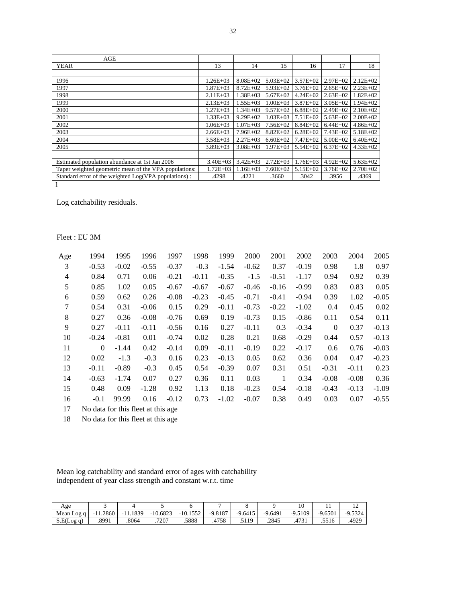| AGE                                                   |              |              |              |              |              |              |
|-------------------------------------------------------|--------------|--------------|--------------|--------------|--------------|--------------|
| <b>YEAR</b>                                           | 13           | 14           | 15           | 16           | 17           | 18           |
|                                                       |              |              |              |              |              |              |
| 1996                                                  | $1.26E + 03$ | $8.08E + 02$ | $5.03E + 02$ | $3.57E + 02$ | $2.97E+02$   | $2.12E+02$   |
| 1997                                                  | $1.87E + 03$ | $8.72E + 02$ | $5.93E+02$   | $3.76E + 02$ | $2.65E+02$   | $2.23E+02$   |
| 1998                                                  | $2.11E+03$   | $1.38E + 03$ | $5.67E+02$   | $4.24E + 02$ | $2.63E+02$   | $1.82E+02$   |
| 1999                                                  | $2.13E+03$   | $1.55E+03$   | $1.00E + 03$ | $3.87E + 02$ | $3.05E + 02$ | $1.94E + 02$ |
| 2000                                                  | $1.27E + 03$ | $1.34E + 03$ | $9.57E + 02$ | $6.88E + 02$ | $2.49E+02$   | $2.10E + 02$ |
| 2001                                                  | $1.33E + 03$ | $9.29E + 02$ | $1.03E + 03$ | $7.51E + 02$ | $5.63E + 02$ | $2.00E + 02$ |
| 2002                                                  | $1.06E + 03$ | $1.07E + 03$ | $7.56E+02$   | $8.84E + 02$ | $6.44E+02$   | $4.86E+02$   |
| 2003                                                  | $2.66E+03$   | $7.96E + 02$ | $8.82E+02$   | $6.28E + 02$ | $7.43E + 02$ | $5.18E + 02$ |
| 2004                                                  | $3.58E + 03$ | $2.27E+03$   | $6.60E + 02$ | $7.47E + 02$ | $5.00E + 02$ | $6.40E + 02$ |
| 2005                                                  | $3.89E + 03$ | $3.08E + 03$ | $1.97E + 03$ | $5.54E+02$   | $6.37E+02$   | $4.33E+02$   |
|                                                       |              |              |              |              |              |              |
| Estimated population abundance at 1st Jan 2006        | $3.40E + 03$ | $3.42E + 03$ | $2.72E+03$   | $1.76E + 03$ | $4.92E+02$   | $5.63E + 02$ |
| Taper weighted geometric mean of the VPA populations: | $1.72E + 03$ | $1.16E + 03$ | $7.60E + 02$ | $5.15E+02$   | $3.76E + 02$ | $2.70E + 02$ |
| Standard error of the weighted Log(VPA populations):  | .4298        | .4221        | .3660        | .3042        | .3956        | .4369        |

1

Log catchability residuals.

## Fleet : EU 3M

| Age            | 1994                                | 1995    | 1996    | 1997    | 1998    | 1999    | 2000    | 2001    | 2002    | 2003         | 2004    | 2005    |
|----------------|-------------------------------------|---------|---------|---------|---------|---------|---------|---------|---------|--------------|---------|---------|
| 3              | $-0.53$                             | $-0.02$ | $-0.55$ | $-0.37$ | $-0.3$  | $-1.54$ | $-0.62$ | 0.37    | $-0.19$ | 0.98         | 1.8     | 0.97    |
| $\overline{4}$ | 0.84                                | 0.71    | 0.06    | $-0.21$ | $-0.11$ | $-0.35$ | $-1.5$  | $-0.51$ | $-1.17$ | 0.94         | 0.92    | 0.39    |
| 5              | 0.85                                | 1.02    | 0.05    | $-0.67$ | $-0.67$ | $-0.67$ | $-0.46$ | $-0.16$ | $-0.99$ | 0.83         | 0.83    | 0.05    |
| 6              | 0.59                                | 0.62    | 0.26    | $-0.08$ | $-0.23$ | $-0.45$ | $-0.71$ | $-0.41$ | $-0.94$ | 0.39         | 1.02    | $-0.05$ |
| 7              | 0.54                                | 0.31    | $-0.06$ | 0.15    | 0.29    | $-0.11$ | $-0.73$ | $-0.22$ | $-1.02$ | 0.4          | 0.45    | 0.02    |
| 8              | 0.27                                | 0.36    | $-0.08$ | $-0.76$ | 0.69    | 0.19    | $-0.73$ | 0.15    | $-0.86$ | 0.11         | 0.54    | 0.11    |
| 9              | 0.27                                | $-0.11$ | $-0.11$ | $-0.56$ | 0.16    | 0.27    | $-0.11$ | 0.3     | $-0.34$ | $\mathbf{0}$ | 0.37    | $-0.13$ |
| 10             | $-0.24$                             | $-0.81$ | 0.01    | $-0.74$ | 0.02    | 0.28    | 0.21    | 0.68    | $-0.29$ | 0.44         | 0.57    | $-0.13$ |
| 11             | $\mathbf{0}$                        | $-1.44$ | 0.42    | $-0.14$ | 0.09    | $-0.11$ | $-0.19$ | 0.22    | $-0.17$ | 0.6          | 0.76    | $-0.03$ |
| 12             | 0.02                                | $-1.3$  | $-0.3$  | 0.16    | 0.23    | $-0.13$ | 0.05    | 0.62    | 0.36    | 0.04         | 0.47    | $-0.23$ |
| 13             | $-0.11$                             | $-0.89$ | $-0.3$  | 0.45    | 0.54    | $-0.39$ | 0.07    | 0.31    | 0.51    | $-0.31$      | $-0.11$ | 0.23    |
| 14             | $-0.63$                             | $-1.74$ | 0.07    | 0.27    | 0.36    | 0.11    | 0.03    | 1       | 0.34    | $-0.08$      | $-0.08$ | 0.36    |
| 15             | 0.48                                | 0.09    | $-1.28$ | 0.92    | 1.13    | 0.18    | $-0.23$ | 0.54    | $-0.18$ | $-0.43$      | $-0.13$ | $-1.09$ |
| 16             | $-0.1$                              | 99.99   | 0.16    | $-0.12$ | 0.73    | $-1.02$ | $-0.07$ | 0.38    | 0.49    | 0.03         | 0.07    | $-0.55$ |
| 17             | No data for this fleet at this age. |         |         |         |         |         |         |         |         |              |         |         |

18 No data for this fleet at this age

 Mean log catchability and standard error of ages with catchability independent of year class strength and constant w.r.t. time

| Age        |            |         |            |            |           |           |           | 10        | . .       |           |
|------------|------------|---------|------------|------------|-----------|-----------|-----------|-----------|-----------|-----------|
| Mean Log q | $-11.2860$ | 11.1839 | $-10.6823$ | $-10.1552$ | $-9.8187$ | $-9.6415$ | $-9.6491$ | $-9.5109$ | $-9.6501$ | $-9.5324$ |
| S.E(Log q) | .8991      | .8064   | 7207       | .5888      | .4758     | .5119     | .2845     | .4731     | .5516     | .4929     |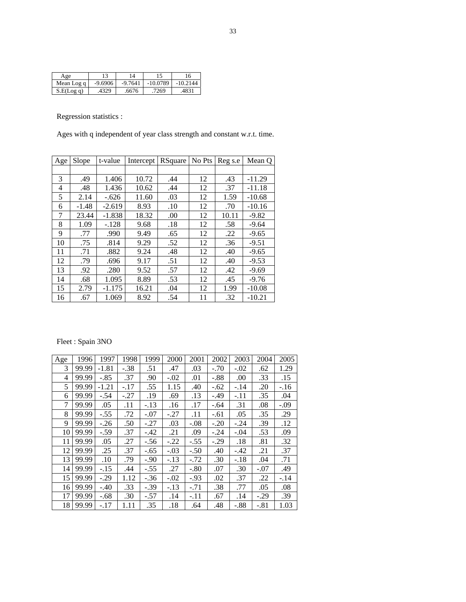| Age        |           | 14        |            | 16         |
|------------|-----------|-----------|------------|------------|
| Mean Log q | $-9.6906$ | $-9.7641$ | $-10.0789$ | $-10.2144$ |
| S.E(Log q) | .4329     | .6676     | 7269       | .4831      |

Regression statistics :

Ages with q independent of year class strength and constant w.r.t. time.

| Age | Slope   | t-value  | Intercept | RSquare | No Pts | Reg s.e | Mean Q   |
|-----|---------|----------|-----------|---------|--------|---------|----------|
|     |         |          |           |         |        |         |          |
| 3   | .49     | 1.406    | 10.72     | .44     | 12     | .43     | $-11.29$ |
| 4   | .48     | 1.436    | 10.62     | .44     | 12     | .37     | $-11.18$ |
| 5   | 2.14    | $-.626$  | 11.60     | .03     | 12     | 1.59    | $-10.68$ |
| 6   | $-1.48$ | $-2.619$ | 8.93      | .10     | 12     | .70     | $-10.16$ |
| 7   | 23.44   | $-1.838$ | 18.32     | .00     | 12     | 10.11   | $-9.82$  |
| 8   | 1.09    | $-.128$  | 9.68      | .18     | 12     | .58     | $-9.64$  |
| 9   | .77     | .990     | 9.49      | .65     | 12     | .22     | $-9.65$  |
| 10  | .75     | .814     | 9.29      | .52     | 12     | .36     | $-9.51$  |
| 11  | .71     | .882     | 9.24      | .48     | 12     | .40     | $-9.65$  |
| 12  | .79     | .696     | 9.17      | .51     | 12     | .40     | $-9.53$  |
| 13  | .92     | .280     | 9.52      | .57     | 12     | .42     | $-9.69$  |
| 14  | .68     | 1.095    | 8.89      | .53     | 12     | .45     | $-9.76$  |
| 15  | 2.79    | $-1.175$ | 16.21     | .04     | 12     | 1.99    | $-10.08$ |
| 16  | .67     | 1.069    | 8.92      | .54     | 11     | .32     | $-10.21$ |

## Fleet : Spain 3NO

| Age | 1996  | 1997    | 1998   | 1999   | 2000   | 2001   | 2002   | 2003   | 2004   | 2005   |
|-----|-------|---------|--------|--------|--------|--------|--------|--------|--------|--------|
| 3   | 99.99 | $-1.81$ | $-.38$ | .51    | .47    | .03    | $-.70$ | $-.02$ | .62    | 1.29   |
| 4   | 99.99 | $-.85$  | .37    | .90    | $-.02$ | .01    | $-.88$ | .00    | .33    | .15    |
| 5   | 99.99 | $-1.21$ | $-.17$ | .55    | 1.15   | .40    | $-.62$ | $-.14$ | .20    | $-.16$ |
| 6   | 99.99 | $-.54$  | $-.27$ | .19    | .69    | .13    | $-.49$ | -.11   | .35    | .04    |
| 7   | 99.99 | .05     | .11    | $-.13$ | .16    | .17    | $-.64$ | .31    | .08    | $-.09$ |
| 8   | 99.99 | $-.55$  | .72    | $-.07$ | -.27   | .11    | $-.61$ | .05    | .35    | .29    |
| 9   | 99.99 | $-.26$  | .50    | $-.27$ | .03    | $-.08$ | $-.20$ | $-.24$ | .39    | .12    |
| 10  | 99.99 | $-.59$  | .37    | $-.42$ | .21    | .09    | $-.24$ | $-.04$ | .53    | .09    |
| 11  | 99.99 | .05     | .27    | $-.56$ | $-.22$ | $-.55$ | $-.29$ | .18    | .81    | .32    |
| 12  | 99.99 | .25     | .37    | $-.65$ | $-.03$ | $-.50$ | .40    | $-.42$ | .21    | .37    |
| 13  | 99.99 | .10     | .79    | $-.90$ | $-.13$ | $-.72$ | .30    | $-.18$ | .04    | .71    |
| 14  | 99.99 | $-.15$  | .44    | $-.55$ | .27    | $-.80$ | .07    | .30    | $-.07$ | .49    |
| 15  | 99.99 | $-.29$  | 1.12   | $-.36$ | $-.02$ | -.93   | .02    | .37    | .22    | -.14   |
| 16  | 99.99 | $-.40$  | .33    | $-.39$ | $-.13$ | $-.71$ | .38    | .77    | .05    | .08    |
| 17  | 99.99 | $-.68$  | .30    | $-.57$ | .14    | $-.11$ | .67    | .14    | $-.29$ | .39    |
| 18  | 99.99 | $-.17$  | 1.11   | .35    | .18    | .64    | .48    | $-.88$ | $-.81$ | 1.03   |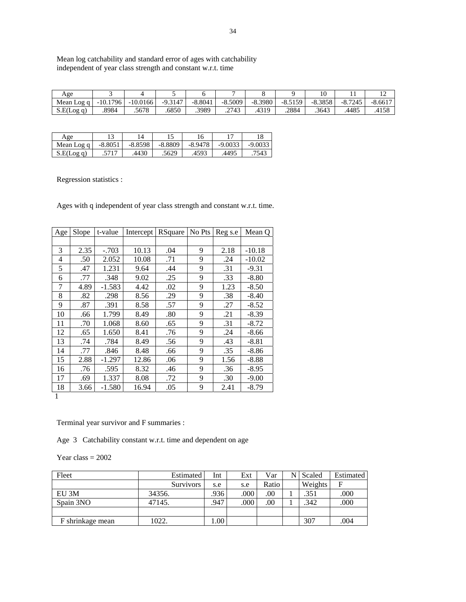Mean log catchability and standard error of ages with catchability independent of year class strength and constant w.r.t. time

| Age        |                 |            |         |           |             |           |           |           |           | $\overline{ }$ |
|------------|-----------------|------------|---------|-----------|-------------|-----------|-----------|-----------|-----------|----------------|
| Mean Log q | 1796<br>$-10.1$ | $-10.0166$ | -9.3147 | $-8.8041$ | $-8.5009$   | $-8.3980$ | $-8.5159$ | $-8.3858$ | $-8.7245$ | $-8.6617$      |
| S.E(Log q) | .8984           | .5678      | .6850   | .3989     | 2743<br>، پ | .4319     | .2884     | .3643     | .4485     | .4158          |

| Age        |           | 4         |           |           |           |           |
|------------|-----------|-----------|-----------|-----------|-----------|-----------|
| Mean Log q | $-8.8051$ | $-8.8598$ | $-8.8809$ | $-8.9478$ | $-9.0033$ | $-9.0033$ |
| S.E(Log q) | .5717     | 4430      | .5629     | .4593     | .4495     | .7543     |

Regression statistics :

Ages with q independent of year class strength and constant w.r.t. time.

| Age            | Slope | t-value  | Intercept | RSquare | No Pts | Reg s.e | Mean Q   |
|----------------|-------|----------|-----------|---------|--------|---------|----------|
|                |       |          |           |         |        |         |          |
| 3              | 2.35  | $-.703$  | 10.13     | .04     | 9      | 2.18    | $-10.18$ |
| $\overline{4}$ | .50   | 2.052    | 10.08     | .71     | 9      | .24     | $-10.02$ |
| 5              | .47   | 1.231    | 9.64      | .44     | 9      | .31     | $-9.31$  |
| 6              | .77   | .348     | 9.02      | .25     | 9      | .33     | $-8.80$  |
| 7              | 4.89  | $-1.583$ | 4.42      | .02     | 9      | 1.23    | $-8.50$  |
| 8              | .82   | .298     | 8.56      | .29     | 9      | .38     | $-8.40$  |
| 9              | .87   | .391     | 8.58      | .57     | 9      | .27     | $-8.52$  |
| 10             | .66   | 1.799    | 8.49      | .80     | 9      | .21     | $-8.39$  |
| 11             | .70   | 1.068    | 8.60      | .65     | 9      | .31     | $-8.72$  |
| 12             | .65   | 1.650    | 8.41      | .76     | 9      | .24     | $-8.66$  |
| 13             | .74   | .784     | 8.49      | .56     | 9      | .43     | $-8.81$  |
| 14             | .77   | .846     | 8.48      | .66     | 9      | .35     | $-8.86$  |
| 15             | 2.88  | $-1.297$ | 12.86     | .06     | 9      | 1.56    | $-8.88$  |
| 16             | .76   | .595     | 8.32      | .46     | 9      | .36     | $-8.95$  |
| 17             | .69   | 1.337    | 8.08      | .72     | 9      | .30     | $-9.00$  |
| 18             | 3.66  | $-1.580$ | 16.94     | .05     | 9      | 2.41    | $-8.79$  |

1

Terminal year survivor and F summaries :

Age 3 Catchability constant w.r.t. time and dependent on age

Year class  $= 2002$ 

| Fleet            | Estimated        | Int  | Ext  | Var   | Scaled  | Estimated |
|------------------|------------------|------|------|-------|---------|-----------|
|                  | <b>Survivors</b> | s.e  | s.e  | Ratio | Weights | F         |
| EU 3M            | 34356.           | .936 | .000 | .00   | .351    | .000      |
| Spain 3NO        | 47145.           | .947 | .000 | .00   | .342    | .000      |
|                  |                  |      |      |       |         |           |
| F shrinkage mean | 1022.            | 00.1 |      |       | 307     | .004      |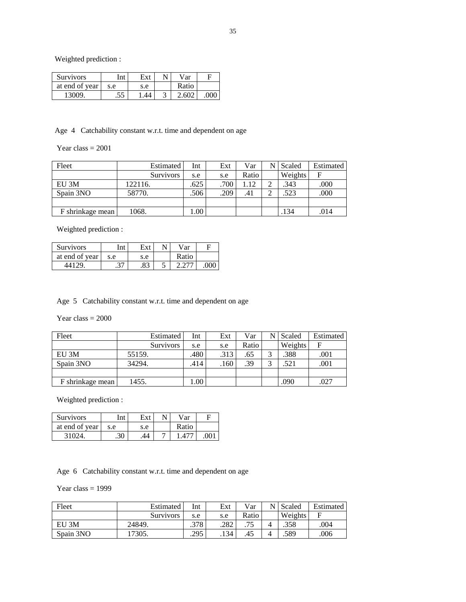Weighted prediction :

| <b>Survivors</b> | Int | Ext | Var   |     |
|------------------|-----|-----|-------|-----|
| at end of year   | s.e | s.e | Ratio |     |
| 13009.           | .JJ | 44  | .602  | 000 |

Age 4 Catchability constant w.r.t. time and dependent on age

## Year class  $= 2001$

| Fleet            | Estimated        | Int  | Ext  | Var   | N | Scaled  | <b>Estimated</b> |
|------------------|------------------|------|------|-------|---|---------|------------------|
|                  | <b>Survivors</b> | s.e  | s.e  | Ratio |   | Weights | F                |
| EU 3M            | 122116.          | .625 | .700 | 1.12  |   | .343    | .000             |
| Spain 3NO        | 58770.           | .506 | .209 | .41   |   | .523    | .000             |
|                  |                  |      |      |       |   |         |                  |
| F shrinkage mean | 1068.            | 00.  |      |       |   | .134    | .014             |

Weighted prediction :

| <b>Survivors</b> | Int       | Ext |   | Var   |  |
|------------------|-----------|-----|---|-------|--|
| at end of year   | s.e       | s.e |   | Ratio |  |
|                  | າ~<br>ر., | .83 | ◡ |       |  |

Age 5 Catchability constant w.r.t. time and dependent on age

Year class  $= 2000$ 

| Fleet            | Estimated        | Int     | Ext  | Var   | Scaled  | Estimated |
|------------------|------------------|---------|------|-------|---------|-----------|
|                  | <b>Survivors</b> | s.e     | s.e  | Ratio | Weights | F         |
| EU 3M            | 55159.           | .480    | .313 | .65   | .388    | .001      |
| Spain 3NO        | 34294.           | .414    | .160 | .39   | .521    | .001      |
|                  |                  |         |      |       |         |           |
| F shrinkage mean | 1455.            | $.00\%$ |      |       | .090    | .027      |

Weighted prediction :

| <b>Survivors</b> | 'nt       | Ext | Var                           |     |
|------------------|-----------|-----|-------------------------------|-----|
| at end of year   | s.e       | s.e | Ratio                         |     |
| 31024            | 20<br>.JU | 44  | $\cdot$ $\Delta$ <sup>'</sup> | ∩∩∶ |

Age 6 Catchability constant w.r.t. time and dependent on age

Year class  $= 1999$ 

| Fleet     | Estimated        | Int  | Ext  | Var   | N Scaled | Estimated |
|-----------|------------------|------|------|-------|----------|-----------|
|           | <b>Survivors</b> | s.e  | s.e  | Ratio | Weights  |           |
| EU 3M     | 24849.           | .378 | .282 | 75    | .358     | .004      |
| Spain 3NO | 17305.           | .295 | .134 | .45   | .589     | .006      |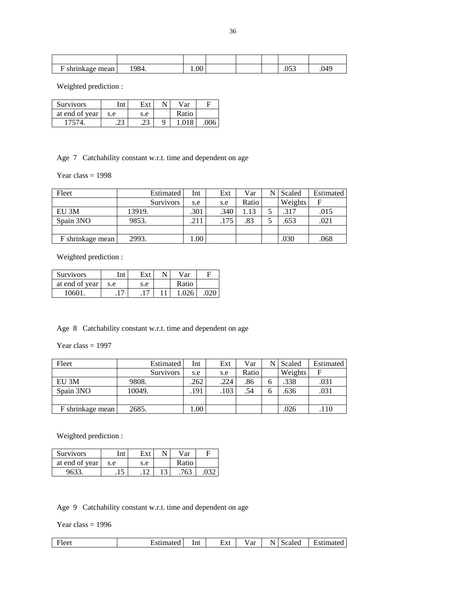| shrinkage mean<br>. . | 984. | 1.00 <sup>1</sup> |  | $\sim$ $\sim$ $\sim$<br>.v. J | N⊿¢<br>$\cdot$ |
|-----------------------|------|-------------------|--|-------------------------------|----------------|

Weighted prediction :

| Survivors      | $\cdots$ |     | Var   |  |
|----------------|----------|-----|-------|--|
| at end of year | s.e      | s.e | Ratio |  |
| 7574           | ل ک      | د،  | .018  |  |

Age 7 Catchability constant w.r.t. time and dependent on age

Year class  $= 1998$ 

| Fleet            | Estimated        | Int  | Ext  | Var   | N | Scaled  | Estimated |
|------------------|------------------|------|------|-------|---|---------|-----------|
|                  | <b>Survivors</b> | s.e  | s.e  | Ratio |   | Weights | F         |
| EU 3M            | 13919.           | .301 | .340 | 1.13  |   | .317    | .015      |
| Spain 3NO        | 9853.            | .211 | .175 | .83   |   | .653    | .021      |
|                  |                  |      |      |       |   |         |           |
| F shrinkage mean | 2993.            | .00. |      |       |   | .030    | .068      |

Weighted prediction :

| Survivors      | 'nt |     | N٢ | $v_{\text{ar}}$ |  |
|----------------|-----|-----|----|-----------------|--|
| at end of year | s.e | s.e |    | Ratio           |  |
| 10601          |     |     |    |                 |  |

Age 8 Catchability constant w.r.t. time and dependent on age

Year class  $= 1997$ 

| Fleet            | Estimated        | Int  | Ext  | Var   |   | Scaled  | Estimated |
|------------------|------------------|------|------|-------|---|---------|-----------|
|                  | <b>Survivors</b> | s.e  | s.e  | Ratio |   | Weights | F         |
| EU 3M            | 9808.            | .262 | .224 | .86   | n | .338    | .031      |
| Spain 3NO        | 10049.           | .191 | .103 | .54   |   | .636    | .031      |
|                  |                  |      |      |       |   |         |           |
| F shrinkage mean | 2685.            | .00. |      |       |   | .026    | .110      |

Weighted prediction :

| Survivors      | ĺnt  | Ext | Var   |  |
|----------------|------|-----|-------|--|
| at end of year | s.e  | s.e | Ratio |  |
| 9633           | ن 1. |     | 762   |  |

Age 9 Catchability constant w.r.t. time and dependent on age

Year class  $= 1996$ 

| ·leet | ∴stimated | Int | ⊣vt<br>ட∧ட<br>---- | مەم<br>' ai | -<br>N | scaled | Estimated |
|-------|-----------|-----|--------------------|-------------|--------|--------|-----------|
|       |           |     |                    |             |        |        |           |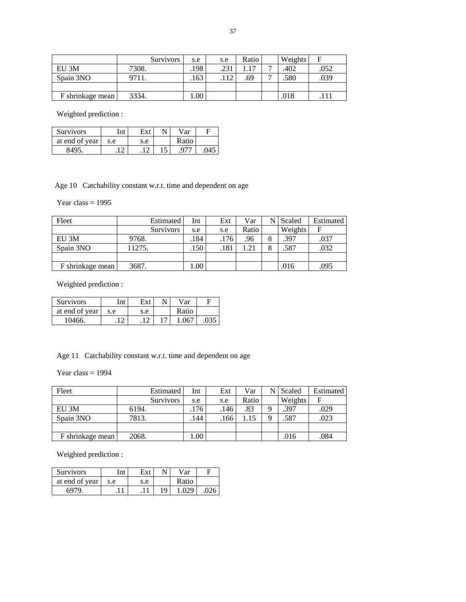|                  | <b>Survivors</b> | s.e   | s.e  | Ratio | Weights | E    |
|------------------|------------------|-------|------|-------|---------|------|
| EU 3M            | 7308.            | .198  | .231 |       | .402    | .052 |
| Spain 3NO        | 9711.            | .163  | .112 | .69   | .580    | .039 |
|                  |                  |       |      |       |         |      |
| F shrinkage mean | 3334.            | 0.001 |      |       | .018    |      |

Weighted prediction :

| <b>Survivors</b> | ادتا |     | Var   |  |
|------------------|------|-----|-------|--|
| at end of year   | s.e  | s.e | Ratio |  |
| 8495             |      |     |       |  |

Age 10 Catchability constant w.r.t. time and dependent on age

Year class  $= 1995$ 

| Fleet              | Estimated        | Int   | Ext  | Var   | N | Scaled  | Estimated |
|--------------------|------------------|-------|------|-------|---|---------|-----------|
|                    | <b>Survivors</b> | s.e   | s.e  | Ratio |   | Weights | F         |
| EU 3M              | 9768.            | .184  | .176 | .96   | 8 | .397    | .037      |
| Spain 3NO          | 11275.           | .150  | .181 | 1.21  | 8 | .587    | .032      |
|                    |                  |       |      |       |   |         |           |
| F shrinkage mean ' | 3687.            | 0.001 |      |       |   | .016    | .095      |

Weighted prediction :

| <b>Survivors</b> | Int | Ext | Var   |  |
|------------------|-----|-----|-------|--|
| at end of year   | s.e | s.e | Ratio |  |
| 10466.           |     |     | 1.067 |  |

Age 11 Catchability constant w.r.t. time and dependent on age

Year class  $= 1994$ 

| Fleet            | Estimated        | Int  | Ext  | Var   |   | Scaled  | Estimated |
|------------------|------------------|------|------|-------|---|---------|-----------|
|                  | <b>Survivors</b> | s.e  | s.e  | Ratio |   | Weights | F         |
| EU 3M            | 6194.            | .176 | .146 | .83   |   | .397    | .029      |
| Spain 3NO        | 7813.            | .144 | .166 | .15   | Ω | .587    | .023      |
|                  |                  |      |      |       |   |         |           |
| F shrinkage mean | 2068.            | 00.1 |      |       |   | .016    | .084      |

| Survivors      | Int |     |     | $v_{\rm ar}$ |  |
|----------------|-----|-----|-----|--------------|--|
| at end of year | s.e | s.e |     | Ratio        |  |
| 6979           |     |     | 1 Q |              |  |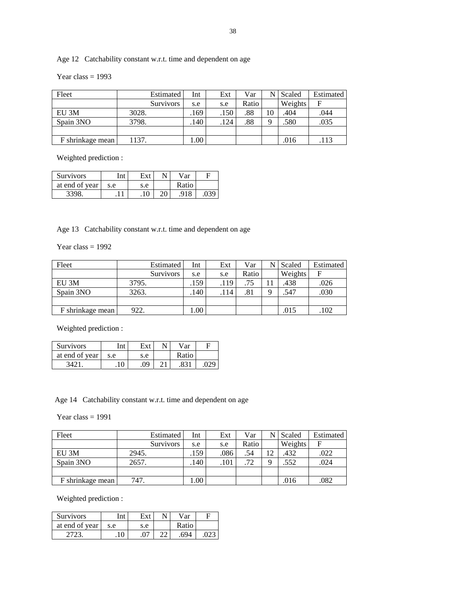## Age 12 Catchability constant w.r.t. time and dependent on age

Year class  $= 1993$ 

| Fleet            | Estimated        | Int  | Ext  | Var   |          | Scaled  | <b>Estimated</b> |
|------------------|------------------|------|------|-------|----------|---------|------------------|
|                  | <b>Survivors</b> | s.e  | s.e  | Ratio |          | Weights | F                |
| EU 3M            | 3028.            | .169 | .150 | .88   | 10       | .404    | .044             |
| Spain 3NO        | 3798.            | .140 | .124 | .88   | $\Omega$ | .580    | .035             |
|                  |                  |      |      |       |          |         |                  |
| F shrinkage mean | 1137.            | 00.1 |      |       |          | .016    | .113             |

Weighted prediction :

| <b>Survivors</b> | Int |     |    | Var   |  |
|------------------|-----|-----|----|-------|--|
| at end of year   | s.e | s.e |    | Ratio |  |
| 3398.            |     | 1 ∩ | ററ | .918  |  |

Age 13 Catchability constant w.r.t. time and dependent on age

Year class  $= 1992$ 

| Fleet            | Estimated        | Int  | Ext  | Var   |   | <b>Scaled</b> | Estimated |
|------------------|------------------|------|------|-------|---|---------------|-----------|
|                  | <b>Survivors</b> | s.e  | s.e  | Ratio |   | Weights       | F         |
| EU 3M            | 3795.            | .159 | .119 | .75   |   | .438          | .026      |
| Spain 3NO        | 3263.            | .140 | .114 | .81   | ∩ | .547          | .030      |
|                  |                  |      |      |       |   |               |           |
| F shrinkage mean | 922.             | .00. |      |       |   | .015          | .102      |

Weighted prediction :

| Survivors      | ™.  |     | N٦ | Var   |  |
|----------------|-----|-----|----|-------|--|
| at end of year | s.e | s.e |    | Ratio |  |
| 24             | 10  | .09 |    |       |  |

Age 14 Catchability constant w.r.t. time and dependent on age

Year class  $= 1991$ 

| Fleet              | Estimated        | Int        | Ext  | Var   | N        | Scaled  | Estimated |
|--------------------|------------------|------------|------|-------|----------|---------|-----------|
|                    | <b>Survivors</b> | s.e        | s.e  | Ratio |          | Weights | F         |
| EU 3M              | 2945.            | .159       | .086 | .54   |          | .432    | .022      |
| Spain 3NO          | 2657.            | .140       | .101 | .72   | $\Omega$ | .552    | .024      |
|                    |                  |            |      |       |          |         |           |
| F shrinkage mean ' | 747.             | $0.00^{+}$ |      |       |          | .016    | .082      |

| Survivors      | $^{\mathrm{t}}$ nt | Ext | Var   |  |
|----------------|--------------------|-----|-------|--|
| at end of year | s.e                | s.e | Ratio |  |
|                |                    |     | 694   |  |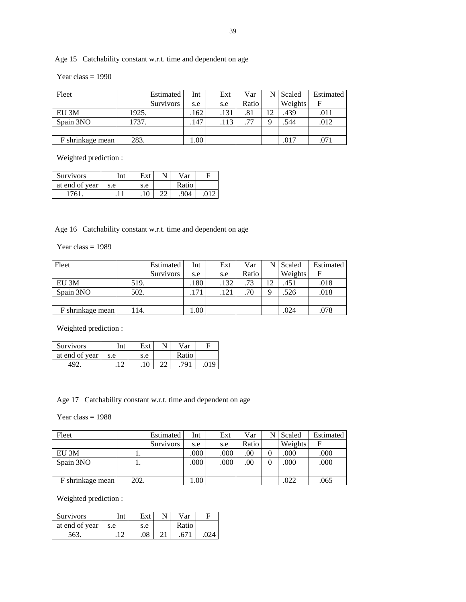## Age 15 Catchability constant w.r.t. time and dependent on age

Year class  $= 1990$ 

| Fleet            | Estimated        | Int  | Ext  | Var   | Scaled  | Estimated |
|------------------|------------------|------|------|-------|---------|-----------|
|                  | <b>Survivors</b> | s.e  | s.e  | Ratio | Weights | F         |
| EU 3M            | 1925.            | .162 | .131 | .81   | .439    | .011      |
| Spain 3NO        | 1737.            | .147 | .113 | .77   | .544    | .012      |
|                  |                  |      |      |       |         |           |
| F shrinkage mean | 283.             | .00. |      |       | .017    | .071      |

Weighted prediction :

| <b>Survivors</b> | Int |     |    | Var   |  |
|------------------|-----|-----|----|-------|--|
| at end of year   | s.e | s.e |    | Ratio |  |
| 1761             |     | 1 ∩ | nn | 904   |  |

Age 16 Catchability constant w.r.t. time and dependent on age

Year class  $= 1989$ 

| Fleet            | Estimated        | Int  | Ext  | Var   | N        | Scaled  | <b>Estimated</b> |
|------------------|------------------|------|------|-------|----------|---------|------------------|
|                  | <b>Survivors</b> | s.e  | s.e  | Ratio |          | Weights | F                |
| EU 3M            | 519.             | .180 | .132 | .73   | 1 າ      | .451    | .018             |
| Spain 3NO        | 502.             | .171 | .121 | .70   | $\Omega$ | .526    | .018             |
|                  |                  |      |      |       |          |         |                  |
| F shrinkage mean | 14.              | .00. |      |       |          | .024    | .078             |

Weighted prediction :

| <b>Survivors</b> | $\cdot$ m <sup>+</sup> |             | N٦ | Var   |  |
|------------------|------------------------|-------------|----|-------|--|
| at end of year   | s.e                    | s.e         |    | Ratio |  |
|                  |                        | 10<br>. I U | nn | 701   |  |

Age 17 Catchability constant w.r.t. time and dependent on age

Year class  $= 1988$ 

| Fleet            |      | Estimated        | Int      | Ext  | Var   | Scaled  | <b>Estimated</b> |
|------------------|------|------------------|----------|------|-------|---------|------------------|
|                  |      | <b>Survivors</b> | s.e      | s.e  | Ratio | Weights | F                |
| EU 3M            |      |                  | $.000\,$ | .000 | .00   | .000    | .000             |
| Spain 3NO        |      |                  | .000     | .000 | .00   | .000    | .000             |
|                  |      |                  |          |      |       |         |                  |
| F shrinkage mean | 202. |                  | 0.001    |      |       | .022    | .065             |

| <b>Survivors</b> |     |     | Var   |  |
|------------------|-----|-----|-------|--|
| at end of year   | s.e | s.e | Ratio |  |
| 563              |     | .08 |       |  |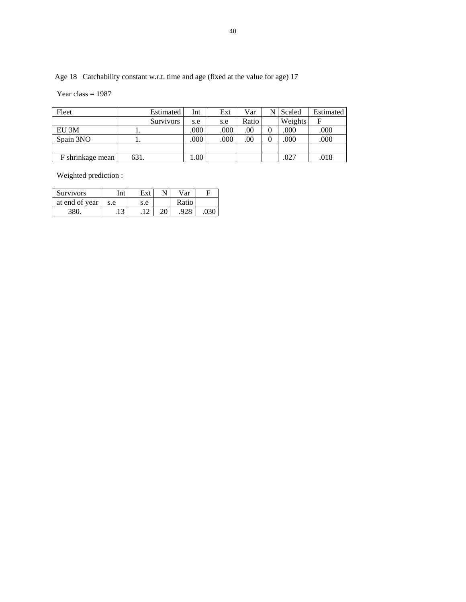Age 18 Catchability constant w.r.t. time and age (fixed at the value for age) 17

Year class  $= 1987$ 

| Fleet            |      | Estimated        | Int  | Ext  | Var   | Scaled  | Estimated |
|------------------|------|------------------|------|------|-------|---------|-----------|
|                  |      | <b>Survivors</b> | s.e  | s.e  | Ratio | Weights | F         |
| EU 3M            |      |                  | .000 | .000 | .00   | .000    | .000      |
| Spain 3NO        |      |                  | .000 | .000 | .00   | .000    | .000      |
|                  |      |                  |      |      |       |         |           |
| F shrinkage mean | 631. |                  | 00.1 |      |       | .027    | .018      |

| <b>Survivors</b> | nt  |     | Var   |  |
|------------------|-----|-----|-------|--|
| at end of year   | s.e | s.e | Ratio |  |
| 380.             |     |     |       |  |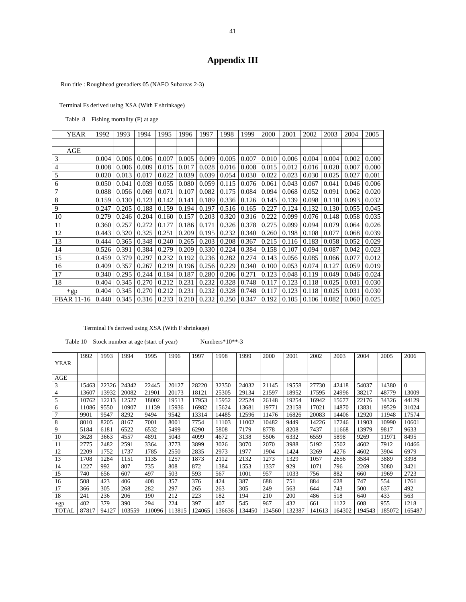## **Appendix III**

Run title : Roughhead grenadiers 05 (NAFO Subareas 2-3)

Terminal Fs derived using XSA (With F shrinkage)

Table 8 Fishing mortality (F) at age

| <b>YEAR</b>       | 1992  | 1993  | 1994  | 1995  | 1996  | 1997  | 1998               | 1999               | 2000  | 2001  | 2002  | 2003  | 2004  | 2005  |
|-------------------|-------|-------|-------|-------|-------|-------|--------------------|--------------------|-------|-------|-------|-------|-------|-------|
|                   |       |       |       |       |       |       |                    |                    |       |       |       |       |       |       |
| AGE               |       |       |       |       |       |       |                    |                    |       |       |       |       |       |       |
| 3                 | 0.004 | 0.006 | 0.006 | 0.007 | 0.005 | 0.009 | 0.005              | 0.007              | 0.010 | 0.006 | 0.004 | 0.004 | 0.002 | 0.000 |
| $\overline{4}$    | 0.008 | 0.006 | 0.009 | 0.015 | 0.017 | 0.028 | $0.016$ 0.008      |                    | 0.015 | 0.012 | 0.016 | 0.020 | 0.007 | 0.000 |
| 5                 | 0.020 | 0.013 | 0.017 | 0.022 | 0.039 | 0.039 | 0.054              | 0.030              | 0.022 | 0.023 | 0.030 | 0.025 | 0.027 | 0.001 |
| 6                 | 0.050 | 0.041 | 0.039 | 0.055 | 0.080 | 0.059 | 0.115              | 0.076              | 0.061 | 0.043 | 0.067 | 0.041 | 0.046 | 0.006 |
| 7                 | 0.088 | 0.056 | 0.069 | 0.071 | 0.107 | 0.082 | 0.175              | 0.084              | 0.094 | 0.068 | 0.052 | 0.091 | 0.062 | 0.020 |
| 8                 | 0.159 | 0.130 | 0.123 | 0.142 | 0.141 | 0.189 | 0.336              | 0.126              | 0.145 | 0.139 | 0.098 | 0.110 | 0.093 | 0.032 |
| 9                 | 0.247 | 0.205 | 0.188 | 0.159 | 0.194 | 0.197 |                    | $0.516 \mid 0.165$ | 0.227 | 0.124 | 0.132 | 0.130 | 0.055 | 0.045 |
| 10                | 0.279 | 0.246 | 0.204 | 0.160 | 0.157 | 0.203 | 0.320              | 0.316              | 0.222 | 0.099 | 0.076 | 0.148 | 0.058 | 0.035 |
| 11                | 0.360 | 0.257 | 0.272 | 0.177 | 0.186 | 0.171 | 0.326              | 0.378              | 0.275 | 0.099 | 0.094 | 0.079 | 0.064 | 0.026 |
| 12                | 0.443 | 0.320 | 0.325 | 0.251 | 0.209 | 0.195 | 0.232              | 0.340              | 0.260 | 0.198 | 0.108 | 0.077 | 0.068 | 0.039 |
| 13                | 0.444 | 0.365 | 0.348 | 0.240 | 0.265 | 0.203 | 0.208              | 0.367              | 0.215 | 0.116 | 0.183 | 0.058 | 0.052 | 0.029 |
| 14                | 0.526 | 0.391 | 0.384 | 0.279 | 0.209 | 0.330 | 0.224              | 0.384              | 0.158 | 0.107 | 0.094 | 0.087 | 0.042 | 0.023 |
| 15                | 0.459 | 0.379 | 0.297 | 0.232 | 0.192 | 0.236 | 0.282              | 0.274              | 0.143 | 0.056 | 0.085 | 0.066 | 0.077 | 0.012 |
| 16                | 0.409 | 0.357 | 0.267 | 0.219 | 0.196 | 0.256 | 0.229              | 0.340              | 0.100 | 0.053 | 0.074 | 0.127 | 0.059 | 0.019 |
| 17                | 0.340 | 0.295 | 0.244 | 0.184 | 0.187 | 0.280 | 0.206              | 0.271              | 0.123 | 0.048 | 0.119 | 0.049 | 0.046 | 0.024 |
| 18                | 0.404 | 0.345 | 0.270 | 0.212 | 0.231 | 0.232 | 0.328              | 0.748              | 0.117 | 0.123 | 0.118 | 0.025 | 0.031 | 0.030 |
| $+gp$             | 0.404 | 0.345 | 0.270 | 0.212 | 0.231 | 0.232 | 0.328              | 0.748              | 0.117 | 0.123 | 0.118 | 0.025 | 0.031 | 0.030 |
| <b>FBAR 11-16</b> | 0.440 | 0.345 | 0.316 | 0.233 | 0.210 | 0.232 | $0.250 \mid 0.347$ |                    | 0.192 | 0.105 | 0.106 | 0.082 | 0.060 | 0.025 |

#### Terminal Fs derived using XSA (With F shrinkage)

Table 10 Stock number at age (start of year) Numbers\*10\*\*-3

YEAR 1992 1993 1994 1995 1996 1997 1998 1999 2000 2001 2002 2003 2004 2005 2006 AGE 3 | 15463 | 22326 | 24342 | 22445 | 20127 | 28220 | 32350 | 24032 | 21145 | 19558 | 27730 | 42418 | 54037 | 14380 | 0 4 13607 13932 20082 21901 20173 18121 25305 29134 21597 18952 17595 24996 38217 48779 13009 5 10762 12213 12527 18002 19513 17953 15952 22524 26148 19254 16942 15677 22176 34326 44129 6 11086 9550 10907 11139 15936 16982 15624 13681 19771 23158 17021 14870 13831 19529 31024 7 9901 9547 8292 9494 9542 13314 14485 12596 11476 16826 20083 14406 12920 11948 17574 8 8010 8205 8167 7001 8001 7754 11103 11002 10482 9449 14226 17246 11903 10990 10601 9 5184 6181 6522 6532 5499 6290 5808 7179 8778 8208 7437 11668 13979 9817 9633 10 3628 3663 4557 4891 5043 4099 4672 3138 5506 6332 6559 5898 9269 11971 8495 11 2775 2482 2591 3364 3773 3899 3026 3070 2070 3988 5192 5502 4602 7912 10466 12 2209 1752 1737 1785 2550 2835 2973 1977 1904 1424 3269 4276 4602 3904 6979 13 1708 1284 1151 1135 1257 1873 2112 2132 1273 1329 1057 2656 3584 3889 3398 14 1227 992 807 735 808 872 1384 1553 1337 929 1071 796 2269 3080 3421 15 740 656 607 497 503 593 567 1001 957 1033 756 882 660 1969 2723 16 508 423 406 408 357 376 424 387 688 751 884 628 747 554 1761 17 366 305 268 282 297 265 263 305 249 563 644 743 500 637 492 18 241 236 206 190 212 223 182 194 210 200 486 518 640 433 563 +gp 402 379 390 294 224 397 407 545 967 432 661 1122 608 955 1218 TOTAL 87817 94127 103559 110096 113815 124065 136636 134450 134560 132387 141613 164302 194543 185072 165487